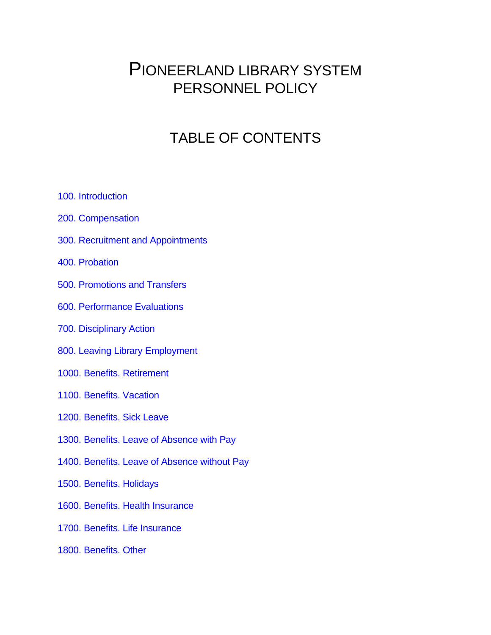# PIONEERLAND LIBRARY SYSTEM PERSONNEL POLICY

# TABLE OF CONTENTS

- [100. Introduction](#page-2-0)
- [200. Compensation](#page-5-0)
- <span id="page-0-0"></span>[300. Recruitment and Appointments](#page-0-0)
- [400. Probation](#page-13-0)
- [500. Promotions and Transfers](#page-17-0)
- [600. Performance Evaluations](#page-18-0)
- [700. Disciplinary Action](#page-19-0)
- [800. Leaving Library Employment](#page-21-0)
- [1000. Benefits. Retirement](#page-22-0)
- [1100. Benefits. Vacation](#page-23-0)
- [1200. Benefits. Sick Leave](#page-25-0)
- [1300. Benefits. Leave of Absence with Pay](#page-26-0)
- [1400. Benefits. Leave of Absence without Pay](#page-27-0)
- [1500. Benefits. Holidays](#page-29-0)
- [1600. Benefits. Health Insurance](#page-31-0)
- [1700. Benefits. Life Insurance](#page-33-0)
- [1800. Benefits. Other](#page-34-0)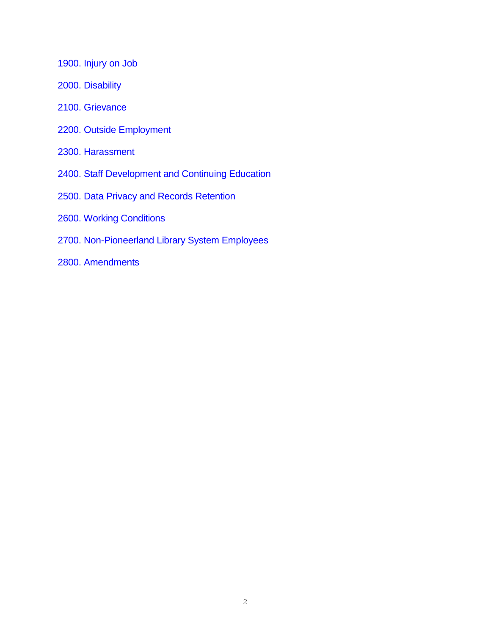[1900. Injury on Job](#page-35-0)

- [2000. Disability](#page-36-0)
- [2100. Grievance](#page-37-0)
- [2200. Outside Employment](#page-37-1)
- [2300. Harassment](#page-39-0)
- [2400. Staff Development and Continuing Education](#page-48-0)
- [2500. Data Privacy and Records Retention](#page-50-0)
- [2600. Working Conditions](#page-51-0)
- [2700. Non-Pioneerland Library System Employees](#page-57-0)
- [2800. Amendments](#page-57-1)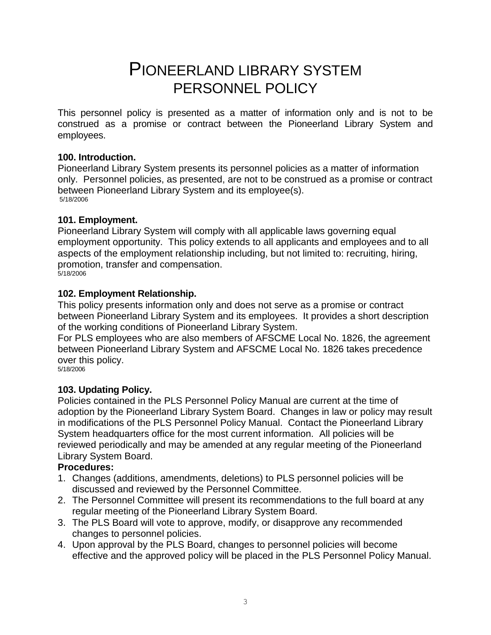# PIONEERLAND LIBRARY SYSTEM PERSONNEL POLICY

This personnel policy is presented as a matter of information only and is not to be construed as a promise or contract between the Pioneerland Library System and employees.

# <span id="page-2-0"></span>**100. Introduction.**

Pioneerland Library System presents its personnel policies as a matter of information only. Personnel policies, as presented, are not to be construed as a promise or contract between Pioneerland Library System and its employee(s). 5/18/2006

# **101. Employment.**

Pioneerland Library System will comply with all applicable laws governing equal employment opportunity. This policy extends to all applicants and employees and to all aspects of the employment relationship including, but not limited to: recruiting, hiring, promotion, transfer and compensation. 5/18/2006

# **102. Employment Relationship.**

This policy presents information only and does not serve as a promise or contract between Pioneerland Library System and its employees. It provides a short description of the working conditions of Pioneerland Library System.

For PLS employees who are also members of AFSCME Local No. 1826, the agreement between Pioneerland Library System and AFSCME Local No. 1826 takes precedence over this policy.

5/18/2006

# **103. Updating Policy.**

Policies contained in the PLS Personnel Policy Manual are current at the time of adoption by the Pioneerland Library System Board. Changes in law or policy may result in modifications of the PLS Personnel Policy Manual. Contact the Pioneerland Library System headquarters office for the most current information.All policies will be reviewed periodically and may be amended at any regular meeting of the Pioneerland Library System Board.

# **Procedures:**

- 1. Changes (additions, amendments, deletions) to PLS personnel policies will be discussed and reviewed by the Personnel Committee.
- 2. The Personnel Committee will present its recommendations to the full board at any regular meeting of the Pioneerland Library System Board.
- 3. The PLS Board will vote to approve, modify, or disapprove any recommended changes to personnel policies.
- 4. Upon approval by the PLS Board, changes to personnel policies will become effective and the approved policy will be placed in the PLS Personnel Policy Manual.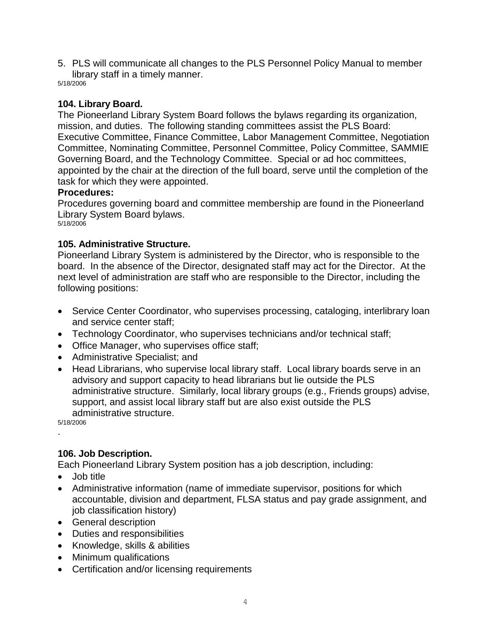5. PLS will communicate all changes to the PLS Personnel Policy Manual to member library staff in a timely manner.

5/18/2006

# **104. Library Board.**

The Pioneerland Library System Board follows the bylaws regarding its organization, mission, and duties. The following standing committees assist the PLS Board: Executive Committee, Finance Committee, Labor Management Committee, Negotiation Committee, Nominating Committee, Personnel Committee, Policy Committee, SAMMIE Governing Board, and the Technology Committee. Special or ad hoc committees, appointed by the chair at the direction of the full board, serve until the completion of the task for which they were appointed.

# **Procedures:**

Procedures governing board and committee membership are found in the Pioneerland Library System Board bylaws. 5/18/2006

# **105. Administrative Structure.**

Pioneerland Library System is administered by the Director, who is responsible to the board. In the absence of the Director, designated staff may act for the Director. At the next level of administration are staff who are responsible to the Director, including the following positions:

- Service Center Coordinator, who supervises processing, cataloging, interlibrary loan and service center staff;
- Technology Coordinator, who supervises technicians and/or technical staff;
- Office Manager, who supervises office staff;
- Administrative Specialist; and
- Head Librarians, who supervise local library staff. Local library boards serve in an advisory and support capacity to head librarians but lie outside the PLS administrative structure. Similarly, local library groups (e.g., Friends groups) advise, support, and assist local library staff but are also exist outside the PLS administrative structure.

5/18/2006 .

# **106. Job Description.**

Each Pioneerland Library System position has a job description, including:

- Job title
- Administrative information (name of immediate supervisor, positions for which accountable, division and department, FLSA status and pay grade assignment, and job classification history)
- General description
- Duties and responsibilities
- Knowledge, skills & abilities
- Minimum qualifications
- Certification and/or licensing requirements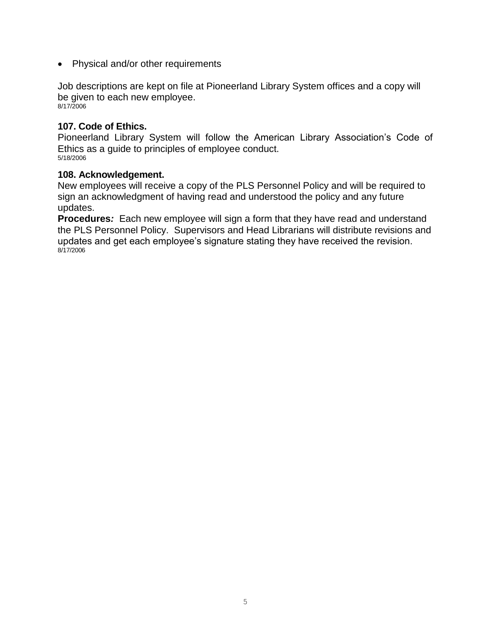• Physical and/or other requirements

Job descriptions are kept on file at Pioneerland Library System offices and a copy will be given to each new employee. 8/17/2006

### **107. Code of Ethics.**

Pioneerland Library System will follow the American Library Association's Code of Ethics as a guide to principles of employee conduct. 5/18/2006

#### **108. Acknowledgement.**

New employees will receive a copy of the PLS Personnel Policy and will be required to sign an acknowledgment of having read and understood the policy and any future updates.

**Procedures***:* Each new employee will sign a form that they have read and understand the PLS Personnel Policy. Supervisors and Head Librarians will distribute revisions and updates and get each employee's signature stating they have received the revision. 8/17/2006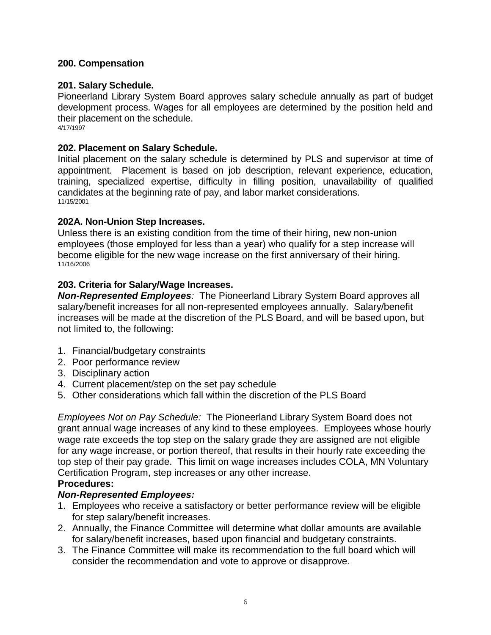# <span id="page-5-0"></span>**200. Compensation**

# **201. Salary Schedule.**

Pioneerland Library System Board approves salary schedule annually as part of budget development process. Wages for all employees are determined by the position held and their placement on the schedule. 4/17/1997

# **202. Placement on Salary Schedule.**

Initial placement on the salary schedule is determined by PLS and supervisor at time of appointment. Placement is based on job description, relevant experience, education, training, specialized expertise, difficulty in filling position, unavailability of qualified candidates at the beginning rate of pay, and labor market considerations. 11/15/2001

# **202A. Non-Union Step Increases.**

Unless there is an existing condition from the time of their hiring, new non-union employees (those employed for less than a year) who qualify for a step increase will become eligible for the new wage increase on the first anniversary of their hiring. 11/16/2006

# **203. Criteria for Salary/Wage Increases.**

*Non-Represented Employees:*The Pioneerland Library System Board approves all salary/benefit increases for all non-represented employees annually. Salary/benefit increases will be made at the discretion of the PLS Board, and will be based upon, but not limited to, the following:

- 1. Financial/budgetary constraints
- 2. Poor performance review
- 3. Disciplinary action
- 4. Current placement/step on the set pay schedule
- 5. Other considerations which fall within the discretion of the PLS Board

*Employees Not on Pay Schedule:*The Pioneerland Library System Board does not grant annual wage increases of any kind to these employees. Employees whose hourly wage rate exceeds the top step on the salary grade they are assigned are not eligible for any wage increase, or portion thereof, that results in their hourly rate exceeding the top step of their pay grade. This limit on wage increases includes COLA, MN Voluntary Certification Program, step increases or any other increase.

# **Procedures:**

# *Non-Represented Employees:*

- 1. Employees who receive a satisfactory or better performance review will be eligible for step salary/benefit increases.
- 2. Annually, the Finance Committee will determine what dollar amounts are available for salary/benefit increases, based upon financial and budgetary constraints.
- 3. The Finance Committee will make its recommendation to the full board which will consider the recommendation and vote to approve or disapprove.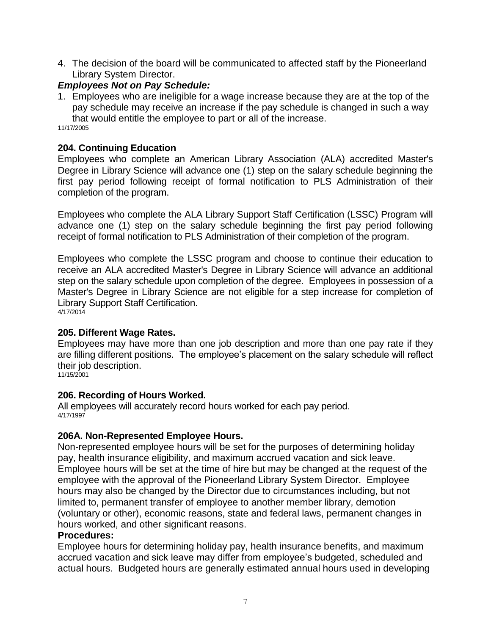4. The decision of the board will be communicated to affected staff by the Pioneerland Library System Director.

# *Employees Not on Pay Schedule:*

1. Employees who are ineligible for a wage increase because they are at the top of the pay schedule may receive an increase if the pay schedule is changed in such a way that would entitle the employee to part or all of the increase.

11/17/2005

### **204. Continuing Education**

Employees who complete an American Library Association (ALA) accredited Master's Degree in Library Science will advance one (1) step on the salary schedule beginning the first pay period following receipt of formal notification to PLS Administration of their completion of the program.

Employees who complete the ALA Library Support Staff Certification (LSSC) Program will advance one (1) step on the salary schedule beginning the first pay period following receipt of formal notification to PLS Administration of their completion of the program.

Employees who complete the LSSC program and choose to continue their education to receive an ALA accredited Master's Degree in Library Science will advance an additional step on the salary schedule upon completion of the degree. Employees in possession of a Master's Degree in Library Science are not eligible for a step increase for completion of Library Support Staff Certification. 4/17/2014

# **205. Different Wage Rates.**

Employees may have more than one job description and more than one pay rate if they are filling different positions. The employee's placement on the salary schedule will reflect their job description.

11/15/2001

# **206. Recording of Hours Worked.**

All employees will accurately record hours worked for each pay period. 4/17/1997

# **206A. Non-Represented Employee Hours.**

Non-represented employee hours will be set for the purposes of determining holiday pay, health insurance eligibility, and maximum accrued vacation and sick leave. Employee hours will be set at the time of hire but may be changed at the request of the employee with the approval of the Pioneerland Library System Director. Employee hours may also be changed by the Director due to circumstances including, but not limited to, permanent transfer of employee to another member library, demotion (voluntary or other), economic reasons, state and federal laws, permanent changes in hours worked, and other significant reasons.

#### **Procedures:**

Employee hours for determining holiday pay, health insurance benefits, and maximum accrued vacation and sick leave may differ from employee's budgeted, scheduled and actual hours. Budgeted hours are generally estimated annual hours used in developing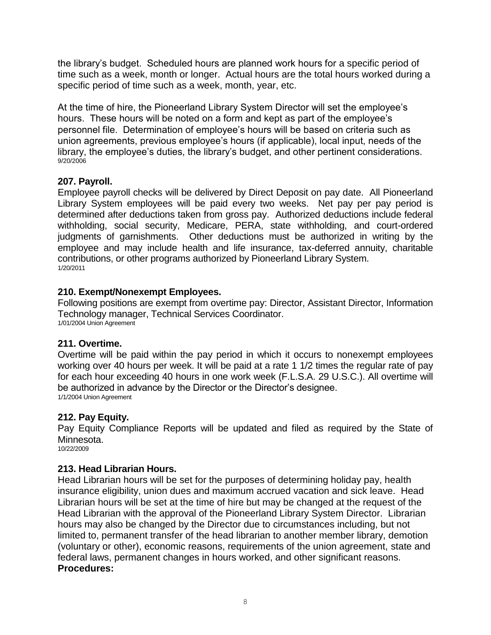the library's budget. Scheduled hours are planned work hours for a specific period of time such as a week, month or longer. Actual hours are the total hours worked during a specific period of time such as a week, month, year, etc.

At the time of hire, the Pioneerland Library System Director will set the employee's hours. These hours will be noted on a form and kept as part of the employee's personnel file. Determination of employee's hours will be based on criteria such as union agreements, previous employee's hours (if applicable), local input, needs of the library, the employee's duties, the library's budget, and other pertinent considerations. 9/20/2006

# **207. Payroll.**

Employee payroll checks will be delivered by Direct Deposit on pay date. All Pioneerland Library System employees will be paid every two weeks. Net pay per pay period is determined after deductions taken from gross pay. Authorized deductions include federal withholding, social security, Medicare, PERA, state withholding, and court-ordered judgments of garnishments. Other deductions must be authorized in writing by the employee and may include health and life insurance, tax-deferred annuity, charitable contributions, or other programs authorized by Pioneerland Library System. 1/20/2011

# **210. Exempt/Nonexempt Employees.**

Following positions are exempt from overtime pay: Director, Assistant Director, Information Technology manager, Technical Services Coordinator. 1/01/2004 Union Agreement

# **211. Overtime.**

Overtime will be paid within the pay period in which it occurs to nonexempt employees working over 40 hours per week. It will be paid at a rate 1 1/2 times the regular rate of pay for each hour exceeding 40 hours in one work week (F.L.S.A. 29 U.S.C.). All overtime will be authorized in advance by the Director or the Director's designee. 1/1/2004 Union Agreement

# **212. Pay Equity.**

Pay Equity Compliance Reports will be updated and filed as required by the State of Minnesota. 10/22/2009

# **213. Head Librarian Hours.**

Head Librarian hours will be set for the purposes of determining holiday pay, health insurance eligibility, union dues and maximum accrued vacation and sick leave. Head Librarian hours will be set at the time of hire but may be changed at the request of the Head Librarian with the approval of the Pioneerland Library System Director. Librarian hours may also be changed by the Director due to circumstances including, but not limited to, permanent transfer of the head librarian to another member library, demotion (voluntary or other), economic reasons, requirements of the union agreement, state and federal laws, permanent changes in hours worked, and other significant reasons. **Procedures:**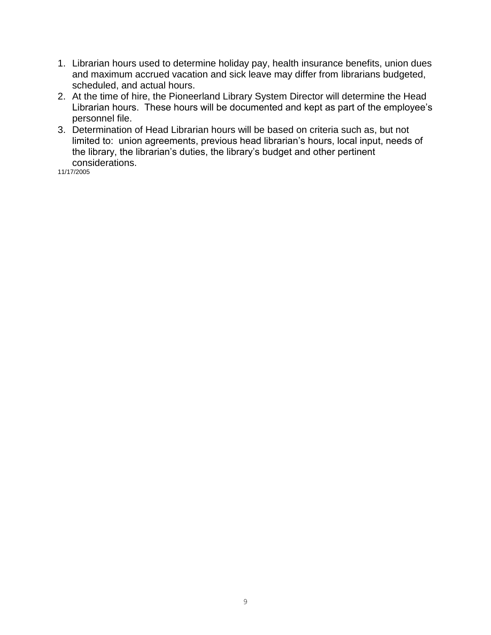- 1. Librarian hours used to determine holiday pay, health insurance benefits, union dues and maximum accrued vacation and sick leave may differ from librarians budgeted, scheduled, and actual hours.
- 2. At the time of hire, the Pioneerland Library System Director will determine the Head Librarian hours. These hours will be documented and kept as part of the employee's personnel file.
- 3. Determination of Head Librarian hours will be based on criteria such as, but not limited to: union agreements, previous head librarian's hours, local input, needs of the library, the librarian's duties, the library's budget and other pertinent considerations.

11/17/2005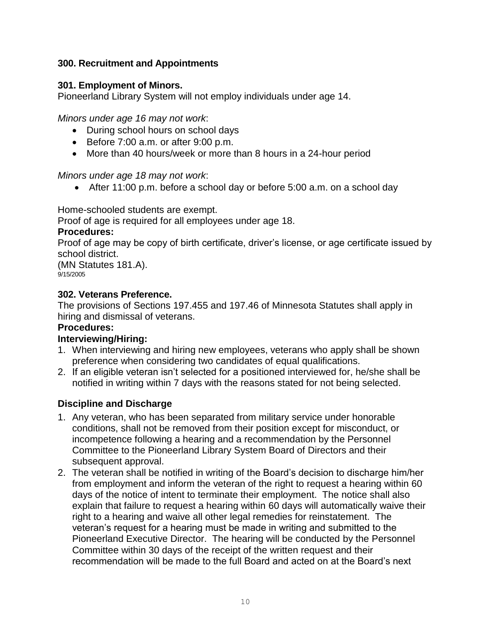# **300. Recruitment and Appointments**

# **301. Employment of Minors.**

Pioneerland Library System will not employ individuals under age 14.

*Minors under age 16 may not work*:

- During school hours on school days
- Before  $7:00$  a.m. or after  $9:00$  p.m.
- More than 40 hours/week or more than 8 hours in a 24-hour period

*Minors under age 18 may not work*:

After 11:00 p.m. before a school day or before 5:00 a.m. on a school day

Home-schooled students are exempt.

Proof of age is required for all employees under age 18.

# **Procedures:**

Proof of age may be copy of birth certificate, driver's license, or age certificate issued by school district.

(MN Statutes 181.A).  $9/15/2005$ 

# **302. Veterans Preference.**

The provisions of Sections 197.455 and 197.46 of Minnesota Statutes shall apply in hiring and dismissal of veterans.

# **Procedures:**

# **Interviewing/Hiring:**

- 1. When interviewing and hiring new employees, veterans who apply shall be shown preference when considering two candidates of equal qualifications.
- 2. If an eligible veteran isn't selected for a positioned interviewed for, he/she shall be notified in writing within 7 days with the reasons stated for not being selected.

# **Discipline and Discharge**

- 1. Any veteran, who has been separated from military service under honorable conditions, shall not be removed from their position except for misconduct, or incompetence following a hearing and a recommendation by the Personnel Committee to the Pioneerland Library System Board of Directors and their subsequent approval.
- 2. The veteran shall be notified in writing of the Board's decision to discharge him/her from employment and inform the veteran of the right to request a hearing within 60 days of the notice of intent to terminate their employment. The notice shall also explain that failure to request a hearing within 60 days will automatically waive their right to a hearing and waive all other legal remedies for reinstatement. The veteran's request for a hearing must be made in writing and submitted to the Pioneerland Executive Director. The hearing will be conducted by the Personnel Committee within 30 days of the receipt of the written request and their recommendation will be made to the full Board and acted on at the Board's next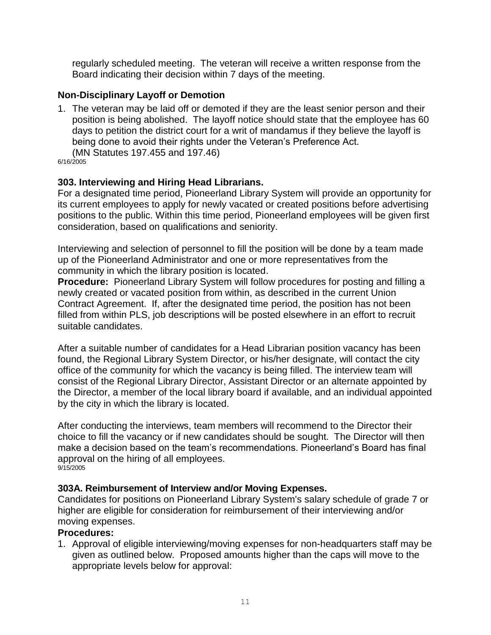regularly scheduled meeting. The veteran will receive a written response from the Board indicating their decision within 7 days of the meeting.

# **Non-Disciplinary Layoff or Demotion**

1. The veteran may be laid off or demoted if they are the least senior person and their position is being abolished. The layoff notice should state that the employee has 60 days to petition the district court for a writ of mandamus if they believe the layoff is being done to avoid their rights under the Veteran's Preference Act. (MN Statutes 197.455 and 197.46)

6/16/2005

#### **303. Interviewing and Hiring Head Librarians.**

For a designated time period, Pioneerland Library System will provide an opportunity for its current employees to apply for newly vacated or created positions before advertising positions to the public. Within this time period, Pioneerland employees will be given first consideration, based on qualifications and seniority.

Interviewing and selection of personnel to fill the position will be done by a team made up of the Pioneerland Administrator and one or more representatives from the community in which the library position is located.

**Procedure:**Pioneerland Library System will follow procedures for posting and filling a newly created or vacated position from within, as described in the current Union Contract Agreement. If, after the designated time period, the position has not been filled from within PLS, job descriptions will be posted elsewhere in an effort to recruit suitable candidates.

After a suitable number of candidates for a Head Librarian position vacancy has been found, the Regional Library System Director, or his/her designate, will contact the city office of the community for which the vacancy is being filled. The interview team will consist of the Regional Library Director, Assistant Director or an alternate appointed by the Director, a member of the local library board if available, and an individual appointed by the city in which the library is located.

After conducting the interviews, team members will recommend to the Director their choice to fill the vacancy or if new candidates should be sought. The Director will then make a decision based on the team's recommendations. Pioneerland's Board has final approval on the hiring of all employees. 9/15/2005

# **303A. Reimbursement of Interview and/or Moving Expenses.**

Candidates for positions on Pioneerland Library System's salary schedule of grade 7 or higher are eligible for consideration for reimbursement of their interviewing and/or moving expenses.

# **Procedures:**

1. Approval of eligible interviewing/moving expenses for non-headquarters staff may be given as outlined below. Proposed amounts higher than the caps will move to the appropriate levels below for approval: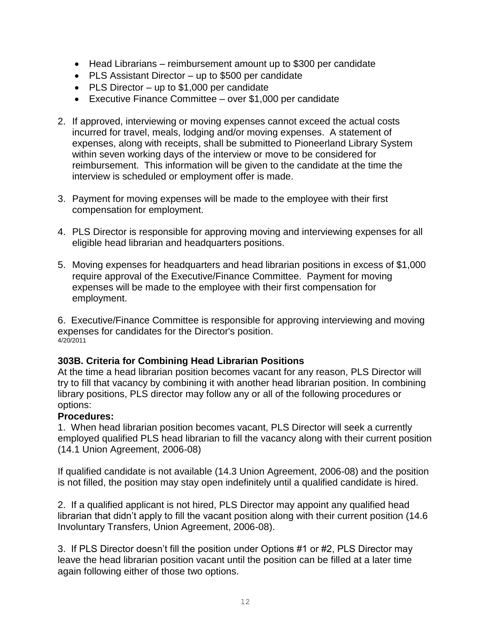- Head Librarians reimbursement amount up to \$300 per candidate
- PLS Assistant Director up to \$500 per candidate
- PLS Director up to \$1,000 per candidate
- Executive Finance Committee over \$1,000 per candidate
- 2. If approved, interviewing or moving expenses cannot exceed the actual costs incurred for travel, meals, lodging and/or moving expenses. A statement of expenses, along with receipts, shall be submitted to Pioneerland Library System within seven working days of the interview or move to be considered for reimbursement. This information will be given to the candidate at the time the interview is scheduled or employment offer is made.
- 3. Payment for moving expenses will be made to the employee with their first compensation for employment.
- 4. PLS Director is responsible for approving moving and interviewing expenses for all eligible head librarian and headquarters positions.
- 5. Moving expenses for headquarters and head librarian positions in excess of \$1,000 require approval of the Executive/Finance Committee. Payment for moving expenses will be made to the employee with their first compensation for employment.

6. Executive/Finance Committee is responsible for approving interviewing and moving expenses for candidates for the Director's position. 4/20/2011

# **303B. Criteria for Combining Head Librarian Positions**

At the time a head librarian position becomes vacant for any reason, PLS Director will try to fill that vacancy by combining it with another head librarian position. In combining library positions, PLS director may follow any or all of the following procedures or options:

# **Procedures:**

1. When head librarian position becomes vacant, PLS Director will seek a currently employed qualified PLS head librarian to fill the vacancy along with their current position (14.1 Union Agreement, 2006-08)

If qualified candidate is not available (14.3 Union Agreement, 2006-08) and the position is not filled, the position may stay open indefinitely until a qualified candidate is hired.

2. If a qualified applicant is not hired, PLS Director may appoint any qualified head librarian that didn't apply to fill the vacant position along with their current position (14.6 Involuntary Transfers, Union Agreement, 2006-08).

3. If PLS Director doesn't fill the position under Options #1 or #2, PLS Director may leave the head librarian position vacant until the position can be filled at a later time again following either of those two options.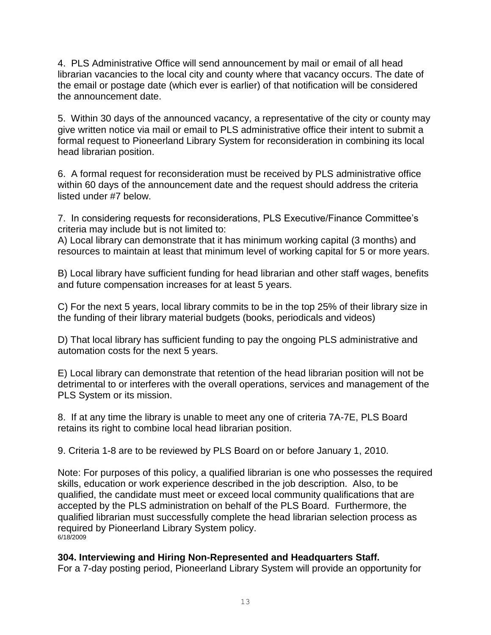4. PLS Administrative Office will send announcement by mail or email of all head librarian vacancies to the local city and county where that vacancy occurs. The date of the email or postage date (which ever is earlier) of that notification will be considered the announcement date.

5. Within 30 days of the announced vacancy, a representative of the city or county may give written notice via mail or email to PLS administrative office their intent to submit a formal request to Pioneerland Library System for reconsideration in combining its local head librarian position.

6. A formal request for reconsideration must be received by PLS administrative office within 60 days of the announcement date and the request should address the criteria listed under #7 below.

7. In considering requests for reconsiderations, PLS Executive/Finance Committee's criteria may include but is not limited to:

A) Local library can demonstrate that it has minimum working capital (3 months) and resources to maintain at least that minimum level of working capital for 5 or more years.

B) Local library have sufficient funding for head librarian and other staff wages, benefits and future compensation increases for at least 5 years.

C) For the next 5 years, local library commits to be in the top 25% of their library size in the funding of their library material budgets (books, periodicals and videos)

D) That local library has sufficient funding to pay the ongoing PLS administrative and automation costs for the next 5 years.

E) Local library can demonstrate that retention of the head librarian position will not be detrimental to or interferes with the overall operations, services and management of the PLS System or its mission.

8. If at any time the library is unable to meet any one of criteria 7A-7E, PLS Board retains its right to combine local head librarian position.

9. Criteria 1-8 are to be reviewed by PLS Board on or before January 1, 2010.

Note: For purposes of this policy, a qualified librarian is one who possesses the required skills, education or work experience described in the job description. Also, to be qualified, the candidate must meet or exceed local community qualifications that are accepted by the PLS administration on behalf of the PLS Board. Furthermore, the qualified librarian must successfully complete the head librarian selection process as required by Pioneerland Library System policy. 6/18/2009

# **304. Interviewing and Hiring Non-Represented and Headquarters Staff.**

For a 7-day posting period, Pioneerland Library System will provide an opportunity for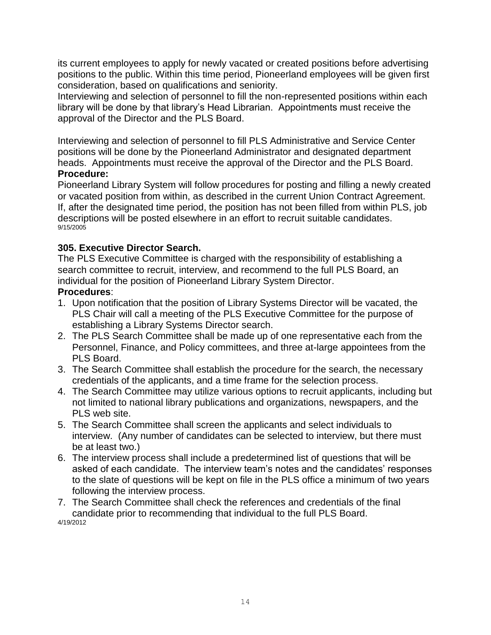its current employees to apply for newly vacated or created positions before advertising positions to the public. Within this time period, Pioneerland employees will be given first consideration, based on qualifications and seniority.

Interviewing and selection of personnel to fill the non-represented positions within each library will be done by that library's Head Librarian. Appointments must receive the approval of the Director and the PLS Board.

Interviewing and selection of personnel to fill PLS Administrative and Service Center positions will be done by the Pioneerland Administrator and designated department heads. Appointments must receive the approval of the Director and the PLS Board. **Procedure:**

Pioneerland Library System will follow procedures for posting and filling a newly created or vacated position from within, as described in the current Union Contract Agreement. If, after the designated time period, the position has not been filled from within PLS, job descriptions will be posted elsewhere in an effort to recruit suitable candidates. 9/15/2005

# **305. Executive Director Search.**

The PLS Executive Committee is charged with the responsibility of establishing a search committee to recruit, interview, and recommend to the full PLS Board, an individual for the position of Pioneerland Library System Director.

# **Procedures**:

- 1. Upon notification that the position of Library Systems Director will be vacated, the PLS Chair will call a meeting of the PLS Executive Committee for the purpose of establishing a Library Systems Director search.
- 2. The PLS Search Committee shall be made up of one representative each from the Personnel, Finance, and Policy committees, and three at-large appointees from the PLS Board.
- 3. The Search Committee shall establish the procedure for the search, the necessary credentials of the applicants, and a time frame for the selection process.
- 4. The Search Committee may utilize various options to recruit applicants, including but not limited to national library publications and organizations, newspapers, and the PLS web site.
- 5. The Search Committee shall screen the applicants and select individuals to interview. (Any number of candidates can be selected to interview, but there must be at least two.)
- 6. The interview process shall include a predetermined list of questions that will be asked of each candidate. The interview team's notes and the candidates' responses to the slate of questions will be kept on file in the PLS office a minimum of two years following the interview process.
- <span id="page-13-0"></span>7. The Search Committee shall check the references and credentials of the final candidate prior to recommending that individual to the full PLS Board. 4/19/2012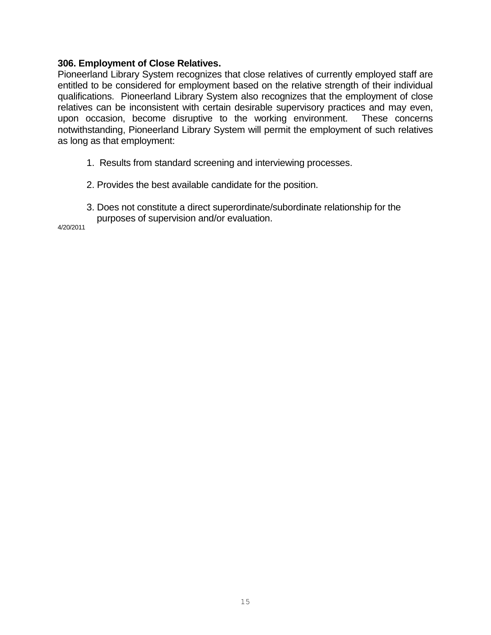#### **306. Employment of Close Relatives.**

Pioneerland Library System recognizes that close relatives of currently employed staff are entitled to be considered for employment based on the relative strength of their individual qualifications. Pioneerland Library System also recognizes that the employment of close relatives can be inconsistent with certain desirable supervisory practices and may even, upon occasion, become disruptive to the working environment. These concerns notwithstanding, Pioneerland Library System will permit the employment of such relatives as long as that employment:

- 1. Results from standard screening and interviewing processes.
- 2. Provides the best available candidate for the position.
- 3. Does not constitute a direct superordinate/subordinate relationship for the purposes of supervision and/or evaluation.

4/20/2011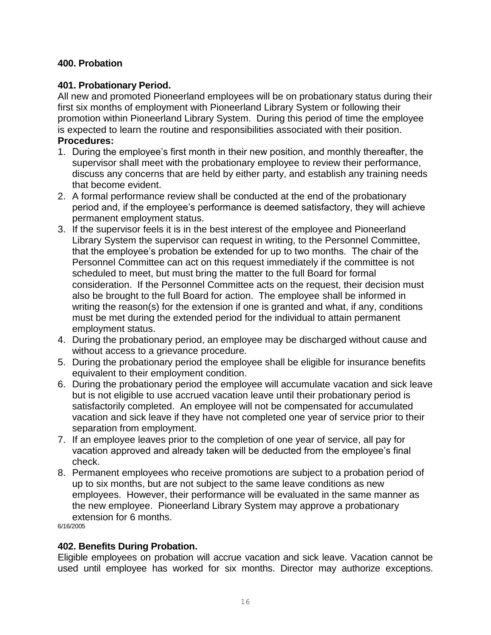# **400. Probation**

# **401. Probationary Period.**

All new and promoted Pioneerland employees will be on probationary status during their first six months of employment with Pioneerland Library System or following their promotion within Pioneerland Library System. During this period of time the employee is expected to learn the routine and responsibilities associated with their position. **Procedures:** 

- 1. During the employee's first month in their new position, and monthly thereafter, the supervisor shall meet with the probationary employee to review their performance, discuss any concerns that are held by either party, and establish any training needs that become evident.
- 2. A formal performance review shall be conducted at the end of the probationary period and, if the employee's performance is deemed satisfactory, they will achieve permanent employment status.
- 3. If the supervisor feels it is in the best interest of the employee and Pioneerland Library System the supervisor can request in writing, to the Personnel Committee, that the employee's probation be extended for up to two months. The chair of the Personnel Committee can act on this request immediately if the committee is not scheduled to meet, but must bring the matter to the full Board for formal consideration. If the Personnel Committee acts on the request, their decision must also be brought to the full Board for action. The employee shall be informed in writing the reason(s) for the extension if one is granted and what, if any, conditions must be met during the extended period for the individual to attain permanent employment status.
- 4. During the probationary period, an employee may be discharged without cause and without access to a grievance procedure.
- 5. During the probationary period the employee shall be eligible for insurance benefits equivalent to their employment condition.
- 6. During the probationary period the employee will accumulate vacation and sick leave but is not eligible to use accrued vacation leave until their probationary period is satisfactorily completed. An employee will not be compensated for accumulated vacation and sick leave if they have not completed one year of service prior to their separation from employment.
- 7. If an employee leaves prior to the completion of one year of service, all pay for vacation approved and already taken will be deducted from the employee's final check.
- 8. Permanent employees who receive promotions are subject to a probation period of up to six months, but are not subject to the same leave conditions as new employees. However, their performance will be evaluated in the same manner as the new employee. Pioneerland Library System may approve a probationary extension for 6 months.

6/16/2005

# **402. Benefits During Probation.**

Eligible employees on probation will accrue vacation and sick leave. Vacation cannot be used until employee has worked for six months. Director may authorize exceptions.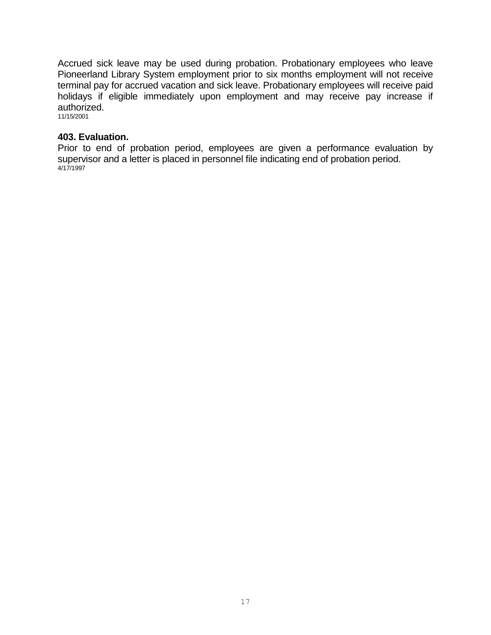Accrued sick leave may be used during probation. Probationary employees who leave Pioneerland Library System employment prior to six months employment will not receive terminal pay for accrued vacation and sick leave. Probationary employees will receive paid holidays if eligible immediately upon employment and may receive pay increase if authorized.

11/15/2001

#### **403. Evaluation.**

Prior to end of probation period, employees are given a performance evaluation by supervisor and a letter is placed in personnel file indicating end of probation period. 4/17/1997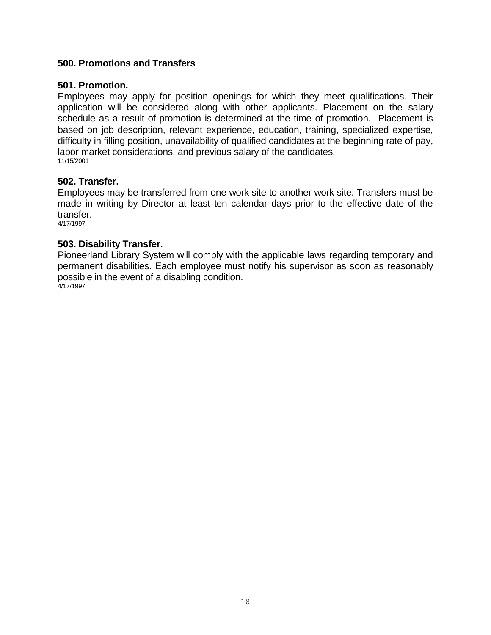### <span id="page-17-0"></span>**500. Promotions and Transfers**

#### **501. Promotion.**

Employees may apply for position openings for which they meet qualifications. Their application will be considered along with other applicants. Placement on the salary schedule as a result of promotion is determined at the time of promotion. Placement is based on job description, relevant experience, education, training, specialized expertise, difficulty in filling position, unavailability of qualified candidates at the beginning rate of pay, labor market considerations, and previous salary of the candidates. 11/15/2001

#### **502. Transfer.**

Employees may be transferred from one work site to another work site. Transfers must be made in writing by Director at least ten calendar days prior to the effective date of the transfer.

4/17/1997

#### **503. Disability Transfer.**

Pioneerland Library System will comply with the applicable laws regarding temporary and permanent disabilities. Each employee must notify his supervisor as soon as reasonably possible in the event of a disabling condition. 4/17/1997

18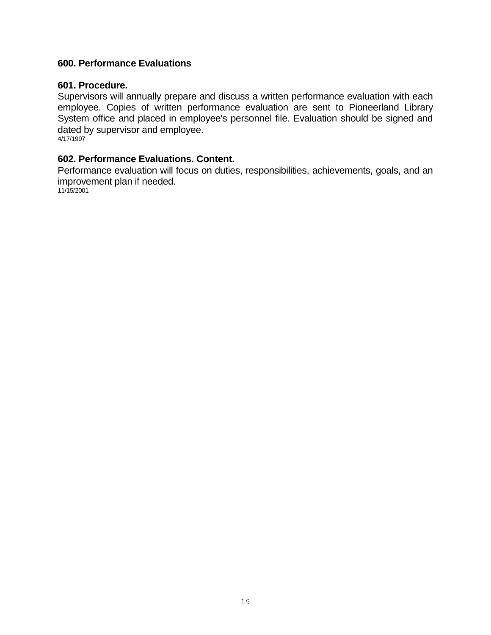## <span id="page-18-0"></span>**600. Performance Evaluations**

#### **601. Procedure.**

Supervisors will annually prepare and discuss a written performance evaluation with each employee. Copies of written performance evaluation are sent to Pioneerland Library System office and placed in employee's personnel file. Evaluation should be signed and dated by supervisor and employee. 4/17/1997

**602. Performance Evaluations. Content.**

Performance evaluation will focus on duties, responsibilities, achievements, goals, and an improvement plan if needed.

11/15/2001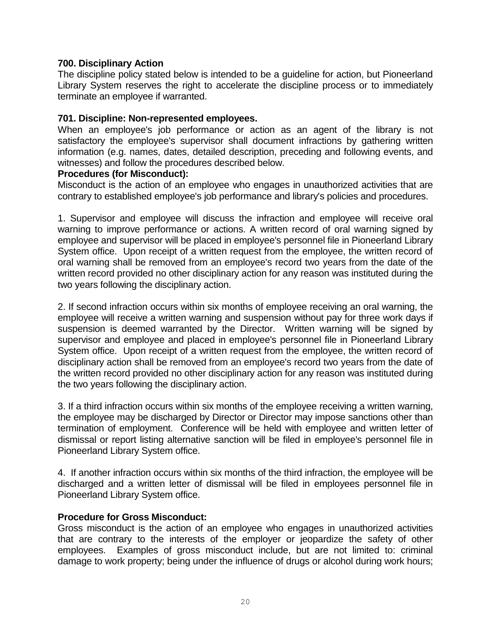#### <span id="page-19-0"></span>**700. Disciplinary Action**

The discipline policy stated below is intended to be a guideline for action, but Pioneerland Library System reserves the right to accelerate the discipline process or to immediately terminate an employee if warranted.

#### **701. Discipline: Non-represented employees.**

When an employee's job performance or action as an agent of the library is not satisfactory the employee's supervisor shall document infractions by gathering written information (e.g. names, dates, detailed description, preceding and following events, and witnesses) and follow the procedures described below.

#### **Procedures (for Misconduct):**

Misconduct is the action of an employee who engages in unauthorized activities that are contrary to established employee's job performance and library's policies and procedures.

1. Supervisor and employee will discuss the infraction and employee will receive oral warning to improve performance or actions. A written record of oral warning signed by employee and supervisor will be placed in employee's personnel file in Pioneerland Library System office. Upon receipt of a written request from the employee, the written record of oral warning shall be removed from an employee's record two years from the date of the written record provided no other disciplinary action for any reason was instituted during the two years following the disciplinary action.

2. If second infraction occurs within six months of employee receiving an oral warning, the employee will receive a written warning and suspension without pay for three work days if suspension is deemed warranted by the Director. Written warning will be signed by supervisor and employee and placed in employee's personnel file in Pioneerland Library System office. Upon receipt of a written request from the employee, the written record of disciplinary action shall be removed from an employee's record two years from the date of the written record provided no other disciplinary action for any reason was instituted during the two years following the disciplinary action.

3. If a third infraction occurs within six months of the employee receiving a written warning, the employee may be discharged by Director or Director may impose sanctions other than termination of employment. Conference will be held with employee and written letter of dismissal or report listing alternative sanction will be filed in employee's personnel file in Pioneerland Library System office.

4. If another infraction occurs within six months of the third infraction, the employee will be discharged and a written letter of dismissal will be filed in employees personnel file in Pioneerland Library System office.

#### **Procedure for Gross Misconduct:**

Gross misconduct is the action of an employee who engages in unauthorized activities that are contrary to the interests of the employer or jeopardize the safety of other employees. Examples of gross misconduct include, but are not limited to: criminal damage to work property; being under the influence of drugs or alcohol during work hours;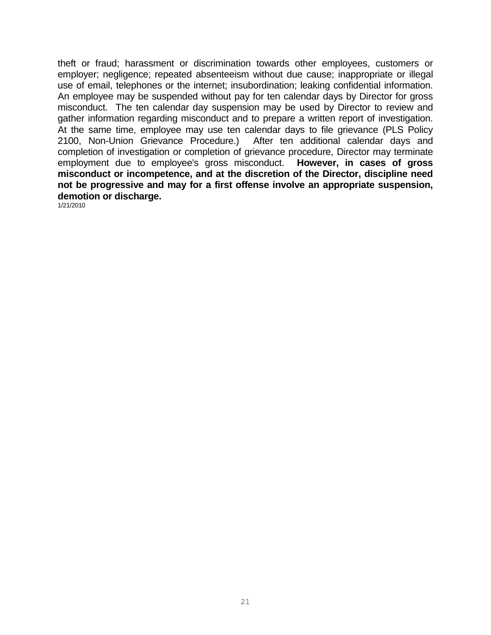theft or fraud; harassment or discrimination towards other employees, customers or employer; negligence; repeated absenteeism without due cause; inappropriate or illegal use of email, telephones or the internet; insubordination; leaking confidential information. An employee may be suspended without pay for ten calendar days by Director for gross misconduct. The ten calendar day suspension may be used by Director to review and gather information regarding misconduct and to prepare a written report of investigation. At the same time, employee may use ten calendar days to file grievance (PLS Policy 2100, Non-Union Grievance Procedure.) After ten additional calendar days and completion of investigation or completion of grievance procedure, Director may terminate employment due to employee's gross misconduct. **However, in cases of gross misconduct or incompetence, and at the discretion of the Director, discipline need not be progressive and may for a first offense involve an appropriate suspension, demotion or discharge.**

1/21/2010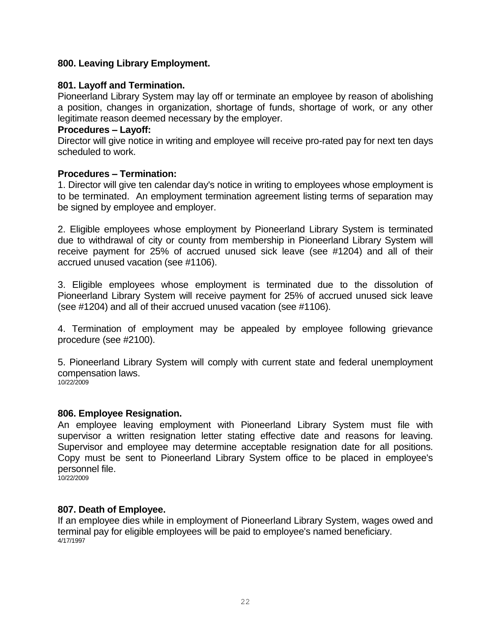# <span id="page-21-0"></span>**800. Leaving Library Employment.**

#### **801. Layoff and Termination.**

Pioneerland Library System may lay off or terminate an employee by reason of abolishing a position, changes in organization, shortage of funds, shortage of work, or any other legitimate reason deemed necessary by the employer.

#### **Procedures – Layoff:**

Director will give notice in writing and employee will receive pro-rated pay for next ten days scheduled to work.

#### **Procedures – Termination:**

1. Director will give ten calendar day's notice in writing to employees whose employment is to be terminated. An employment termination agreement listing terms of separation may be signed by employee and employer.

2. Eligible employees whose employment by Pioneerland Library System is terminated due to withdrawal of city or county from membership in Pioneerland Library System will receive payment for 25% of accrued unused sick leave (see #1204) and all of their accrued unused vacation (see #1106).

3. Eligible employees whose employment is terminated due to the dissolution of Pioneerland Library System will receive payment for 25% of accrued unused sick leave (see #1204) and all of their accrued unused vacation (see #1106).

4. Termination of employment may be appealed by employee following grievance procedure (see #2100).

5. Pioneerland Library System will comply with current state and federal unemployment compensation laws. 10/22/2009

#### **806. Employee Resignation.**

An employee leaving employment with Pioneerland Library System must file with supervisor a written resignation letter stating effective date and reasons for leaving. Supervisor and employee may determine acceptable resignation date for all positions. Copy must be sent to Pioneerland Library System office to be placed in employee's personnel file.

10/22/2009

#### **807. Death of Employee.**

If an employee dies while in employment of Pioneerland Library System, wages owed and terminal pay for eligible employees will be paid to employee's named beneficiary. 4/17/1997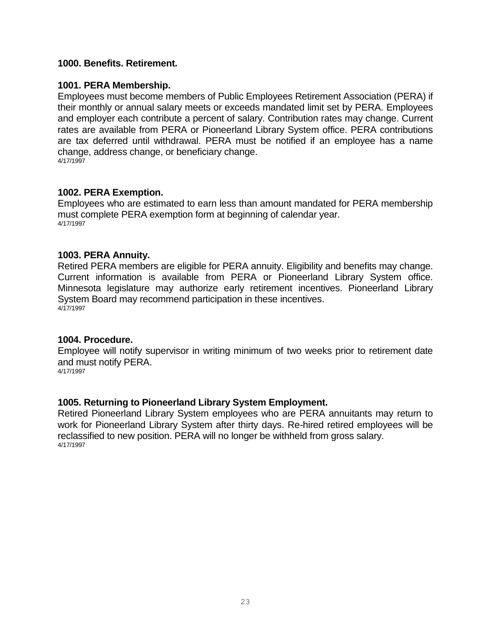#### <span id="page-22-0"></span>**1000. Benefits. Retirement.**

#### **1001. PERA Membership.**

Employees must become members of Public Employees Retirement Association (PERA) if their monthly or annual salary meets or exceeds mandated limit set by PERA. Employees and employer each contribute a percent of salary. Contribution rates may change. Current rates are available from PERA or Pioneerland Library System office. PERA contributions are tax deferred until withdrawal. PERA must be notified if an employee has a name change, address change, or beneficiary change. 4/17/1997

#### **1002. PERA Exemption.**

Employees who are estimated to earn less than amount mandated for PERA membership must complete PERA exemption form at beginning of calendar year. 4/17/1997

#### **1003. PERA Annuity.**

Retired PERA members are eligible for PERA annuity. Eligibility and benefits may change. Current information is available from PERA or Pioneerland Library System office. Minnesota legislature may authorize early retirement incentives. Pioneerland Library System Board may recommend participation in these incentives. 4/17/1997

#### **1004. Procedure.**

Employee will notify supervisor in writing minimum of two weeks prior to retirement date and must notify PERA.

4/17/1997

#### **1005. Returning to Pioneerland Library System Employment.**

Retired Pioneerland Library System employees who are PERA annuitants may return to work for Pioneerland Library System after thirty days. Re-hired retired employees will be reclassified to new position. PERA will no longer be withheld from gross salary. 4/17/1997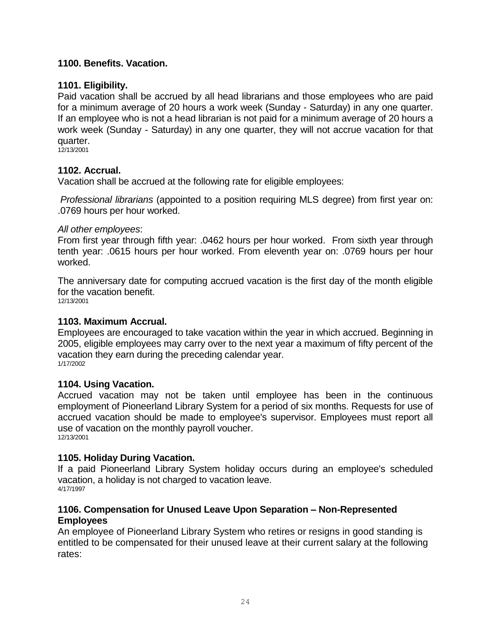# <span id="page-23-0"></span>**1100. Benefits. Vacation.**

#### **1101. Eligibility.**

Paid vacation shall be accrued by all head librarians and those employees who are paid for a minimum average of 20 hours a work week (Sunday - Saturday) in any one quarter. If an employee who is not a head librarian is not paid for a minimum average of 20 hours a work week (Sunday - Saturday) in any one quarter, they will not accrue vacation for that quarter.

12/13/2001

#### **1102. Accrual.**

Vacation shall be accrued at the following rate for eligible employees:

*Professional librarians* (appointed to a position requiring MLS degree) from first year on: .0769 hours per hour worked.

#### *All other employees*:

From first year through fifth year: .0462 hours per hour worked. From sixth year through tenth year: .0615 hours per hour worked. From eleventh year on: .0769 hours per hour worked.

The anniversary date for computing accrued vacation is the first day of the month eligible for the vacation benefit. 12/13/2001

#### **1103. Maximum Accrual.**

Employees are encouraged to take vacation within the year in which accrued. Beginning in 2005, eligible employees may carry over to the next year a maximum of fifty percent of the vacation they earn during the preceding calendar year. 1/17/2002

#### **1104. Using Vacation.**

Accrued vacation may not be taken until employee has been in the continuous employment of Pioneerland Library System for a period of six months. Requests for use of accrued vacation should be made to employee's supervisor. Employees must report all use of vacation on the monthly payroll voucher. 12/13/2001

#### **1105. Holiday During Vacation.**

If a paid Pioneerland Library System holiday occurs during an employee's scheduled vacation, a holiday is not charged to vacation leave. 4/17/1997

#### **1106. Compensation for Unused Leave Upon Separation – Non-Represented Employees**

An employee of Pioneerland Library System who retires or resigns in good standing is entitled to be compensated for their unused leave at their current salary at the following rates: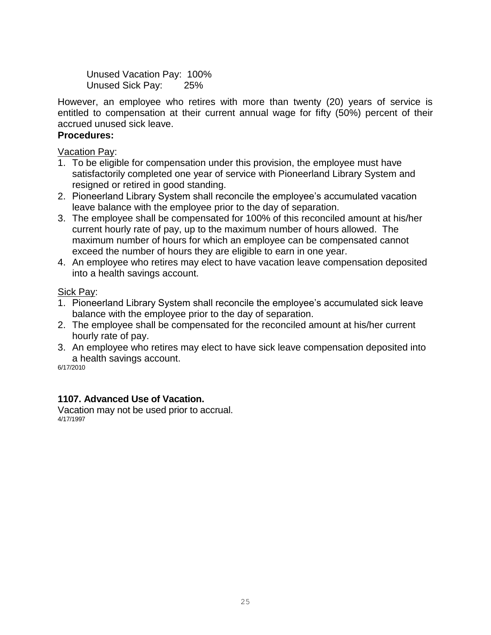Unused Vacation Pay: 100% Unused Sick Pay: 25%

However, an employee who retires with more than twenty (20) years of service is entitled to compensation at their current annual wage for fifty (50%) percent of their accrued unused sick leave.

# **Procedures:**

Vacation Pay:

- 1. To be eligible for compensation under this provision, the employee must have satisfactorily completed one year of service with Pioneerland Library System and resigned or retired in good standing.
- 2. Pioneerland Library System shall reconcile the employee's accumulated vacation leave balance with the employee prior to the day of separation.
- 3. The employee shall be compensated for 100% of this reconciled amount at his/her current hourly rate of pay, up to the maximum number of hours allowed. The maximum number of hours for which an employee can be compensated cannot exceed the number of hours they are eligible to earn in one year.
- 4. An employee who retires may elect to have vacation leave compensation deposited into a health savings account.

# Sick Pay:

- 1. Pioneerland Library System shall reconcile the employee's accumulated sick leave balance with the employee prior to the day of separation.
- 2. The employee shall be compensated for the reconciled amount at his/her current hourly rate of pay.
- 3. An employee who retires may elect to have sick leave compensation deposited into a health savings account.

6/17/2010

# **1107. Advanced Use of Vacation.**

Vacation may not be used prior to accrual. 4/17/1997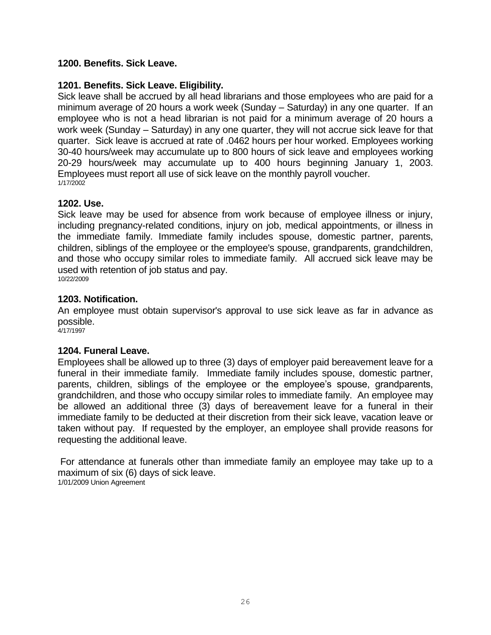# <span id="page-25-0"></span>**1200. Benefits. Sick Leave.**

# **1201. Benefits. Sick Leave. Eligibility.**

Sick leave shall be accrued by all head librarians and those employees who are paid for a minimum average of 20 hours a work week (Sunday – Saturday) in any one quarter. If an employee who is not a head librarian is not paid for a minimum average of 20 hours a work week (Sunday – Saturday) in any one quarter, they will not accrue sick leave for that quarter. Sick leave is accrued at rate of .0462 hours per hour worked. Employees working 30-40 hours/week may accumulate up to 800 hours of sick leave and employees working 20-29 hours/week may accumulate up to 400 hours beginning January 1, 2003. Employees must report all use of sick leave on the monthly payroll voucher. 1/17/2002

# **1202. Use.**

Sick leave may be used for absence from work because of employee illness or injury, including pregnancy-related conditions, injury on job, medical appointments, or illness in the immediate family. Immediate family includes spouse, domestic partner, parents, children, siblings of the employee or the employee's spouse, grandparents, grandchildren, and those who occupy similar roles to immediate family. All accrued sick leave may be used with retention of job status and pay. 10/22/2009

# **1203. Notification.**

An employee must obtain supervisor's approval to use sick leave as far in advance as possible.

4/17/1997

# **1204. Funeral Leave.**

Employees shall be allowed up to three (3) days of employer paid bereavement leave for a funeral in their immediate family. Immediate family includes spouse, domestic partner, parents, children, siblings of the employee or the employee's spouse, grandparents, grandchildren, and those who occupy similar roles to immediate family. An employee may be allowed an additional three (3) days of bereavement leave for a funeral in their immediate family to be deducted at their discretion from their sick leave, vacation leave or taken without pay. If requested by the employer, an employee shall provide reasons for requesting the additional leave.

For attendance at funerals other than immediate family an employee may take up to a maximum of six (6) days of sick leave. 1/01/2009 Union Agreement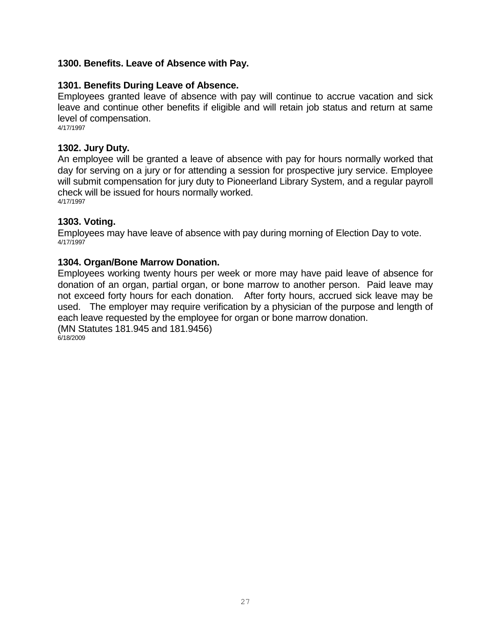### <span id="page-26-0"></span>**1300. Benefits. Leave of Absence with Pay.**

#### **1301. Benefits During Leave of Absence.**

Employees granted leave of absence with pay will continue to accrue vacation and sick leave and continue other benefits if eligible and will retain job status and return at same level of compensation.

4/17/1997

#### **1302. Jury Duty.**

An employee will be granted a leave of absence with pay for hours normally worked that day for serving on a jury or for attending a session for prospective jury service. Employee will submit compensation for jury duty to Pioneerland Library System, and a regular payroll check will be issued for hours normally worked. 4/17/1997

#### **1303. Voting.**

Employees may have leave of absence with pay during morning of Election Day to vote. 4/17/1997

#### **1304. Organ/Bone Marrow Donation.**

Employees working twenty hours per week or more may have paid leave of absence for donation of an organ, partial organ, or bone marrow to another person. Paid leave may not exceed forty hours for each donation. After forty hours, accrued sick leave may be used. The employer may require verification by a physician of the purpose and length of each leave requested by the employee for organ or bone marrow donation. (MN Statutes 181.945 and 181.9456)

6/18/2009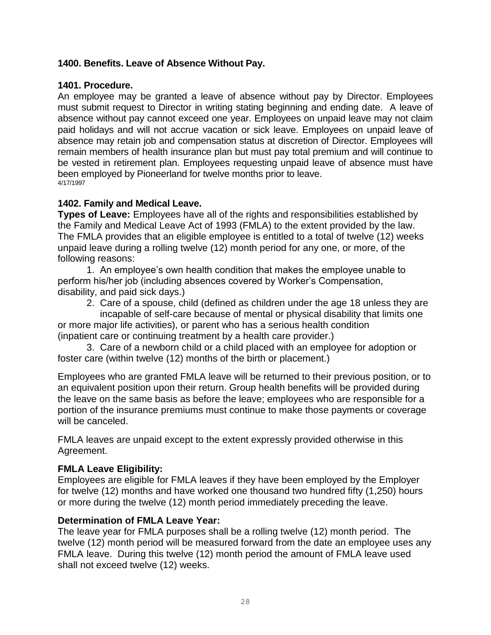# <span id="page-27-0"></span>**1400. Benefits. Leave of Absence Without Pay.**

### **1401. Procedure.**

An employee may be granted a leave of absence without pay by Director. Employees must submit request to Director in writing stating beginning and ending date. A leave of absence without pay cannot exceed one year. Employees on unpaid leave may not claim paid holidays and will not accrue vacation or sick leave. Employees on unpaid leave of absence may retain job and compensation status at discretion of Director. Employees will remain members of health insurance plan but must pay total premium and will continue to be vested in retirement plan. Employees requesting unpaid leave of absence must have been employed by Pioneerland for twelve months prior to leave. 4/17/1997

# **1402. Family and Medical Leave.**

**Types of Leave:** Employees have all of the rights and responsibilities established by the Family and Medical Leave Act of 1993 (FMLA) to the extent provided by the law. The FMLA provides that an eligible employee is entitled to a total of twelve (12) weeks unpaid leave during a rolling twelve (12) month period for any one, or more, of the following reasons:

1. An employee's own health condition that makes the employee unable to perform his/her job (including absences covered by Worker's Compensation, disability, and paid sick days.)

2. Care of a spouse, child (defined as children under the age 18 unless they are incapable of self-care because of mental or physical disability that limits one

or more major life activities), or parent who has a serious health condition (inpatient care or continuing treatment by a health care provider.)

3. Care of a newborn child or a child placed with an employee for adoption or foster care (within twelve (12) months of the birth or placement.)

Employees who are granted FMLA leave will be returned to their previous position, or to an equivalent position upon their return. Group health benefits will be provided during the leave on the same basis as before the leave; employees who are responsible for a portion of the insurance premiums must continue to make those payments or coverage will be canceled.

FMLA leaves are unpaid except to the extent expressly provided otherwise in this Agreement.

# **FMLA Leave Eligibility:**

Employees are eligible for FMLA leaves if they have been employed by the Employer for twelve (12) months and have worked one thousand two hundred fifty (1,250) hours or more during the twelve (12) month period immediately preceding the leave.

# **Determination of FMLA Leave Year:**

The leave year for FMLA purposes shall be a rolling twelve (12) month period. The twelve (12) month period will be measured forward from the date an employee uses any FMLA leave. During this twelve (12) month period the amount of FMLA leave used shall not exceed twelve (12) weeks.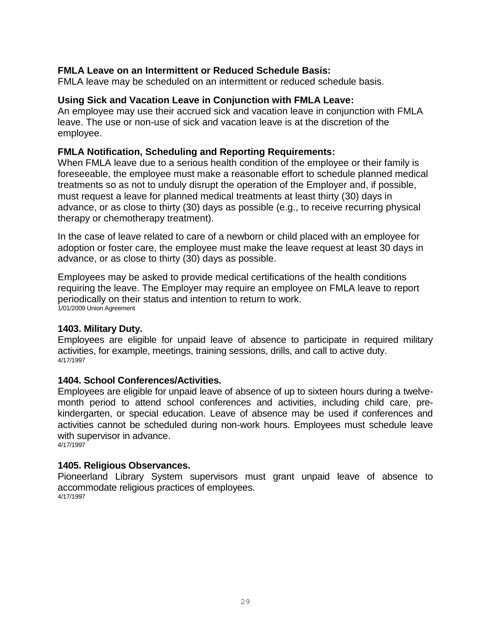# **FMLA Leave on an Intermittent or Reduced Schedule Basis:**

FMLA leave may be scheduled on an intermittent or reduced schedule basis.

### **Using Sick and Vacation Leave in Conjunction with FMLA Leave:**

An employee may use their accrued sick and vacation leave in conjunction with FMLA leave. The use or non-use of sick and vacation leave is at the discretion of the employee.

### **FMLA Notification, Scheduling and Reporting Requirements:**

When FMLA leave due to a serious health condition of the employee or their family is foreseeable, the employee must make a reasonable effort to schedule planned medical treatments so as not to unduly disrupt the operation of the Employer and, if possible, must request a leave for planned medical treatments at least thirty (30) days in advance, or as close to thirty (30) days as possible (e.g., to receive recurring physical therapy or chemotherapy treatment).

In the case of leave related to care of a newborn or child placed with an employee for adoption or foster care, the employee must make the leave request at least 30 days in advance, or as close to thirty (30) days as possible.

Employees may be asked to provide medical certifications of the health conditions requiring the leave. The Employer may require an employee on FMLA leave to report periodically on their status and intention to return to work. 1/01/2009 Union Agreement

#### **1403. Military Duty.**

Employees are eligible for unpaid leave of absence to participate in required military activities, for example, meetings, training sessions, drills, and call to active duty. 4/17/1997

#### **1404. School Conferences/Activities.**

Employees are eligible for unpaid leave of absence of up to sixteen hours during a twelvemonth period to attend school conferences and activities, including child care, prekindergarten, or special education. Leave of absence may be used if conferences and activities cannot be scheduled during non-work hours. Employees must schedule leave with supervisor in advance. 4/17/1997

#### **1405. Religious Observances.**

Pioneerland Library System supervisors must grant unpaid leave of absence to accommodate religious practices of employees. 4/17/1997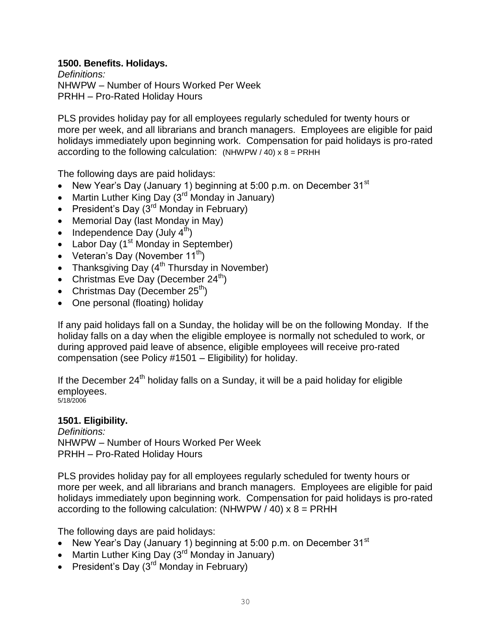# <span id="page-29-0"></span>**1500. Benefits. Holidays.**

*Definitions:* NHWPW – Number of Hours Worked Per Week PRHH – Pro-Rated Holiday Hours

PLS provides holiday pay for all employees regularly scheduled for twenty hours or more per week, and all librarians and branch managers. Employees are eligible for paid holidays immediately upon beginning work. Compensation for paid holidays is pro-rated according to the following calculation:  $(NHWPW / 40) \times 8 = PRHH$ 

The following days are paid holidays:

- New Year's Day (January 1) beginning at 5:00 p.m. on December  $31<sup>st</sup>$
- Martin Luther King Day  $(3^{rd}$  Monday in January)
- **•** President's Day  $(3^{rd}$  Monday in February)
- Memorial Day (last Monday in May)
- Independence Day (July  $4<sup>th</sup>$ )
- Labor Day  $(1<sup>st</sup>$  Monday in September)
- Veteran's Day (November  $11^{th}$ )
- Thanksgiving Day  $(4^{th}$  Thursday in November)
- Christmas Eve Day (December  $24^{th}$ )
- Christmas Day (December 25<sup>th</sup>)
- One personal (floating) holiday

If any paid holidays fall on a Sunday, the holiday will be on the following Monday. If the holiday falls on a day when the eligible employee is normally not scheduled to work, or during approved paid leave of absence, eligible employees will receive pro-rated compensation (see Policy #1501 – Eligibility) for holiday.

If the December  $24<sup>th</sup>$  holiday falls on a Sunday, it will be a paid holiday for eligible employees. 5/18/2006

**1501. Eligibility.** 

*Definitions:* NHWPW – Number of Hours Worked Per Week PRHH – Pro-Rated Holiday Hours

PLS provides holiday pay for all employees regularly scheduled for twenty hours or more per week, and all librarians and branch managers. Employees are eligible for paid holidays immediately upon beginning work. Compensation for paid holidays is pro-rated according to the following calculation: (NHWPW  $/$  40)  $x$  8 = PRHH

The following days are paid holidays:

- New Year's Day (January 1) beginning at 5:00 p.m. on December 31 $^{\rm st}$
- Martin Luther King Day  $(3^{rd}$  Monday in January)
- President's Day  $(3^{rd}$  Monday in February)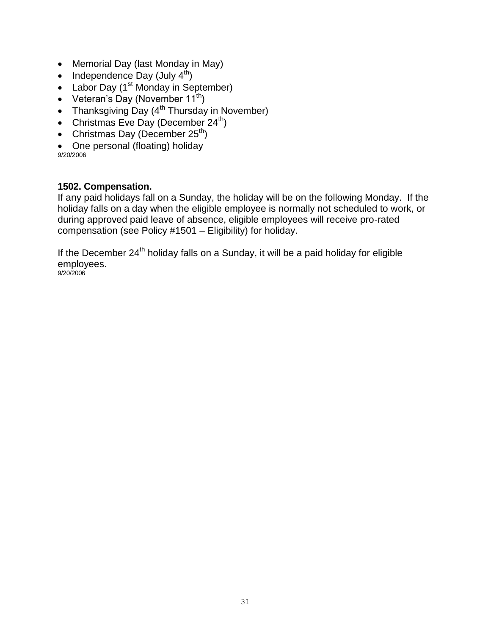- Memorial Day (last Monday in May)
- Independence Day (July  $4<sup>th</sup>$ )
- Labor Day  $(1<sup>st</sup> Monday in September)$
- Veteran's Day (November  $11^{th}$ )
- Thanksgiving Day  $(4^{th}$  Thursday in November)
- Christmas Eve Day (December  $24^{th}$ )
- Christmas Day (December  $25<sup>th</sup>$ )
- One personal (floating) holiday

9/20/2006

# **1502. Compensation.**

If any paid holidays fall on a Sunday, the holiday will be on the following Monday. If the holiday falls on a day when the eligible employee is normally not scheduled to work, or during approved paid leave of absence, eligible employees will receive pro-rated compensation (see Policy #1501 – Eligibility) for holiday.

If the December  $24<sup>th</sup>$  holiday falls on a Sunday, it will be a paid holiday for eligible employees. 9/20/2006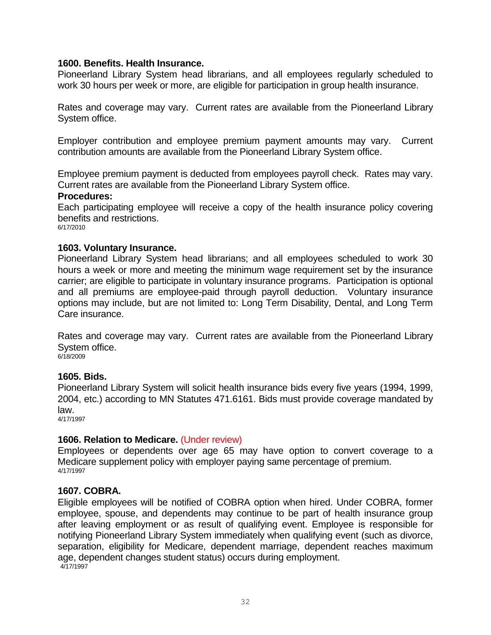#### <span id="page-31-0"></span>**1600. Benefits. Health Insurance.**

Pioneerland Library System head librarians, and all employees regularly scheduled to work 30 hours per week or more, are eligible for participation in group health insurance.

Rates and coverage may vary. Current rates are available from the Pioneerland Library System office.

Employer contribution and employee premium payment amounts may vary. Current contribution amounts are available from the Pioneerland Library System office.

Employee premium payment is deducted from employees payroll check. Rates may vary. Current rates are available from the Pioneerland Library System office.

#### **Procedures:**

Each participating employee will receive a copy of the health insurance policy covering benefits and restrictions.

6/17/2010

#### **1603. Voluntary Insurance.**

Pioneerland Library System head librarians; and all employees scheduled to work 30 hours a week or more and meeting the minimum wage requirement set by the insurance carrier; are eligible to participate in voluntary insurance programs. Participation is optional and all premiums are employee-paid through payroll deduction. Voluntary insurance options may include, but are not limited to: Long Term Disability, Dental, and Long Term Care insurance.

Rates and coverage may vary. Current rates are available from the Pioneerland Library System office. 6/18/2009

#### **1605. Bids.**

Pioneerland Library System will solicit health insurance bids every five years (1994, 1999, 2004, etc.) according to MN Statutes 471.6161. Bids must provide coverage mandated by law.

4/17/1997

#### **1606. Relation to Medicare.** (Under review)

Employees or dependents over age 65 may have option to convert coverage to a Medicare supplement policy with employer paying same percentage of premium. 4/17/1997

#### **1607. COBRA.**

Eligible employees will be notified of COBRA option when hired. Under COBRA, former employee, spouse, and dependents may continue to be part of health insurance group after leaving employment or as result of qualifying event. Employee is responsible for notifying Pioneerland Library System immediately when qualifying event (such as divorce, separation, eligibility for Medicare, dependent marriage, dependent reaches maximum age, dependent changes student status) occurs during employment. 4/17/1997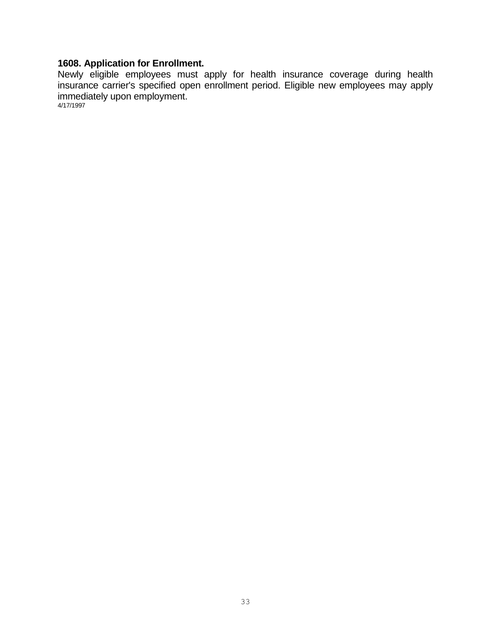# **1608. Application for Enrollment.**

Newly eligible employees must apply for health insurance coverage during health insurance carrier's specified open enrollment period. Eligible new employees may apply immediately upon employment.

4/17/1997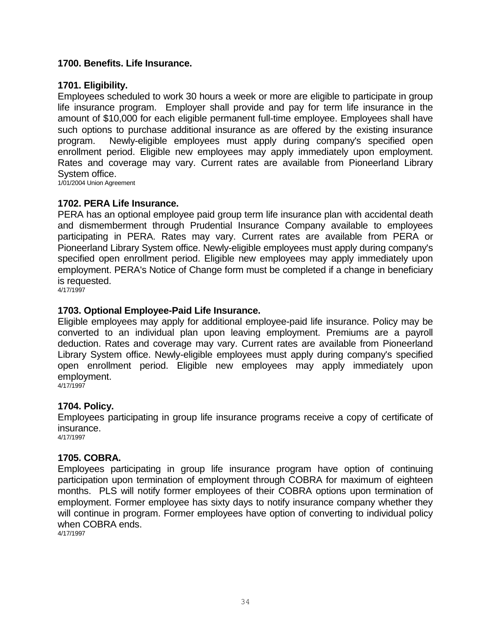#### <span id="page-33-0"></span>**1700. Benefits. Life Insurance.**

#### **1701. Eligibility.**

Employees scheduled to work 30 hours a week or more are eligible to participate in group life insurance program. Employer shall provide and pay for term life insurance in the amount of \$10,000 for each eligible permanent full-time employee. Employees shall have such options to purchase additional insurance as are offered by the existing insurance program. Newly-eligible employees must apply during company's specified open enrollment period. Eligible new employees may apply immediately upon employment. Rates and coverage may vary. Current rates are available from Pioneerland Library System office.

1/01/2004 Union Agreement

#### **1702. PERA Life Insurance.**

PERA has an optional employee paid group term life insurance plan with accidental death and dismemberment through Prudential Insurance Company available to employees participating in PERA. Rates may vary. Current rates are available from PERA or Pioneerland Library System office. Newly-eligible employees must apply during company's specified open enrollment period. Eligible new employees may apply immediately upon employment. PERA's Notice of Change form must be completed if a change in beneficiary is requested.

4/17/1997

# **1703. Optional Employee-Paid Life Insurance.**

Eligible employees may apply for additional employee-paid life insurance. Policy may be converted to an individual plan upon leaving employment. Premiums are a payroll deduction. Rates and coverage may vary. Current rates are available from Pioneerland Library System office. Newly-eligible employees must apply during company's specified open enrollment period. Eligible new employees may apply immediately upon employment.

4/17/1997

#### **1704. Policy.**

Employees participating in group life insurance programs receive a copy of certificate of insurance.

4/17/1997

#### **1705. COBRA.**

Employees participating in group life insurance program have option of continuing participation upon termination of employment through COBRA for maximum of eighteen months. PLS will notify former employees of their COBRA options upon termination of employment. Former employee has sixty days to notify insurance company whether they will continue in program. Former employees have option of converting to individual policy when COBRA ends.

4/17/1997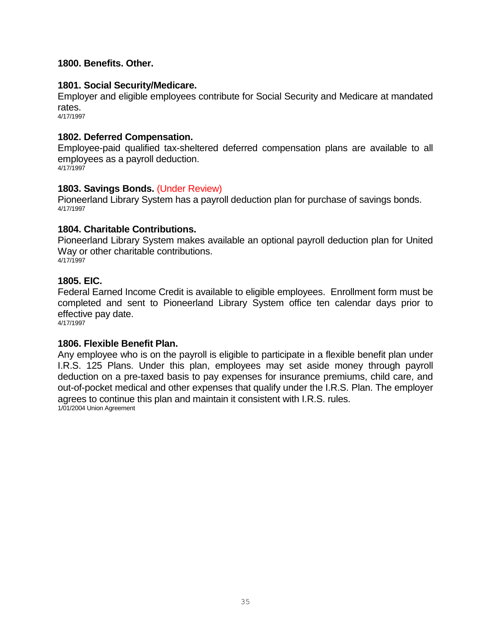### <span id="page-34-0"></span>**1800. Benefits. Other.**

#### **1801. Social Security/Medicare.**

Employer and eligible employees contribute for Social Security and Medicare at mandated rates.

4/17/1997

#### **1802. Deferred Compensation.**

Employee-paid qualified tax-sheltered deferred compensation plans are available to all employees as a payroll deduction. 4/17/1997

#### **1803. Savings Bonds.** (Under Review)

Pioneerland Library System has a payroll deduction plan for purchase of savings bonds. 4/17/1997

#### **1804. Charitable Contributions.**

Pioneerland Library System makes available an optional payroll deduction plan for United Way or other charitable contributions. 4/17/1997

#### **1805. EIC.**

Federal Earned Income Credit is available to eligible employees. Enrollment form must be completed and sent to Pioneerland Library System office ten calendar days prior to effective pay date.

4/17/1997

#### **1806. Flexible Benefit Plan.**

Any employee who is on the payroll is eligible to participate in a flexible benefit plan under I.R.S. 125 Plans. Under this plan, employees may set aside money through payroll deduction on a pre-taxed basis to pay expenses for insurance premiums, child care, and out-of-pocket medical and other expenses that qualify under the I.R.S. Plan. The employer agrees to continue this plan and maintain it consistent with I.R.S. rules. 1/01/2004 Union Agreement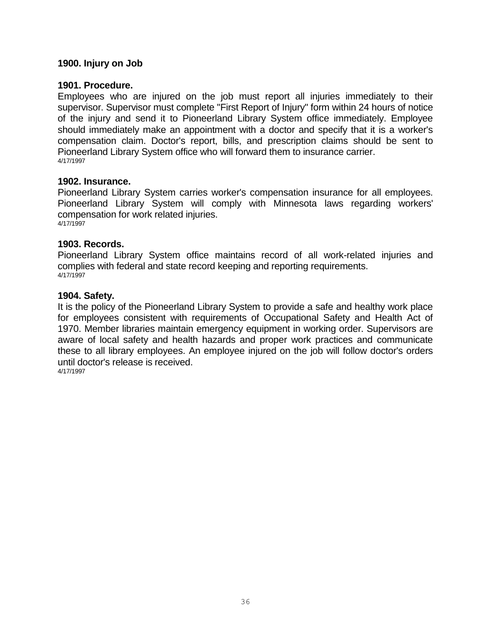#### <span id="page-35-0"></span>**1900. Injury on Job**

#### **1901. Procedure.**

Employees who are injured on the job must report all injuries immediately to their supervisor. Supervisor must complete "First Report of Injury" form within 24 hours of notice of the injury and send it to Pioneerland Library System office immediately. Employee should immediately make an appointment with a doctor and specify that it is a worker's compensation claim. Doctor's report, bills, and prescription claims should be sent to Pioneerland Library System office who will forward them to insurance carrier. 4/17/1997

#### **1902. Insurance.**

Pioneerland Library System carries worker's compensation insurance for all employees. Pioneerland Library System will comply with Minnesota laws regarding workers' compensation for work related injuries. 4/17/1997

#### **1903. Records.**

Pioneerland Library System office maintains record of all work-related injuries and complies with federal and state record keeping and reporting requirements. 4/17/1997

#### **1904. Safety.**

It is the policy of the Pioneerland Library System to provide a safe and healthy work place for employees consistent with requirements of Occupational Safety and Health Act of 1970. Member libraries maintain emergency equipment in working order. Supervisors are aware of local safety and health hazards and proper work practices and communicate these to all library employees. An employee injured on the job will follow doctor's orders until doctor's release is received. 4/17/1997

36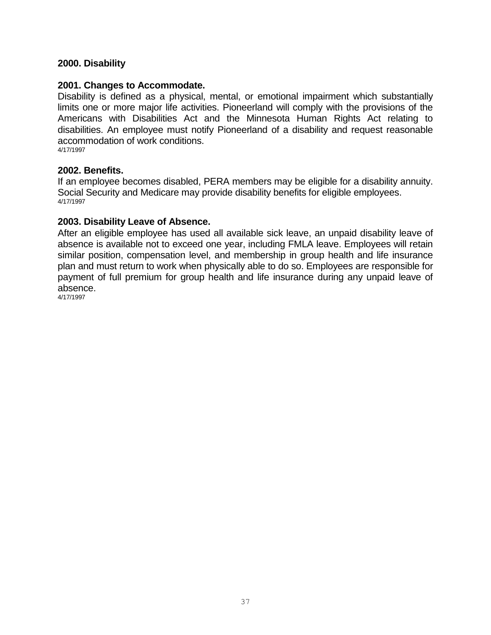# <span id="page-36-0"></span>**2000. Disability**

#### **2001. Changes to Accommodate.**

Disability is defined as a physical, mental, or emotional impairment which substantially limits one or more major life activities. Pioneerland will comply with the provisions of the Americans with Disabilities Act and the Minnesota Human Rights Act relating to disabilities. An employee must notify Pioneerland of a disability and request reasonable accommodation of work conditions. 4/17/1997

#### **2002. Benefits.**

If an employee becomes disabled, PERA members may be eligible for a disability annuity. Social Security and Medicare may provide disability benefits for eligible employees. 4/17/1997

#### **2003. Disability Leave of Absence.**

After an eligible employee has used all available sick leave, an unpaid disability leave of absence is available not to exceed one year, including FMLA leave. Employees will retain similar position, compensation level, and membership in group health and life insurance plan and must return to work when physically able to do so. Employees are responsible for payment of full premium for group health and life insurance during any unpaid leave of absence.

4/17/1997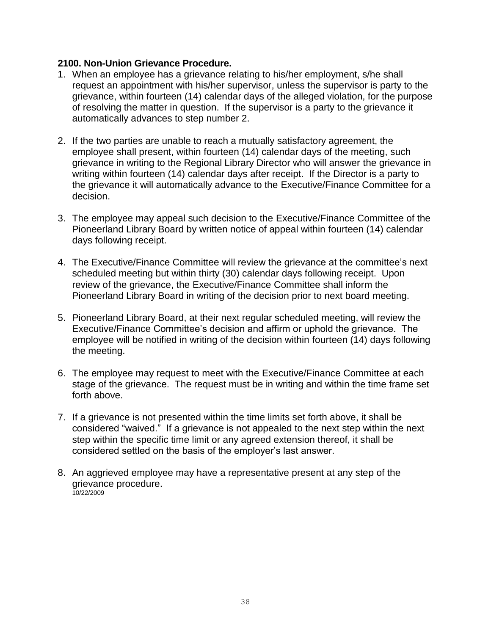# <span id="page-37-0"></span>**2100. Non-Union Grievance Procedure.**

- 1. When an employee has a grievance relating to his/her employment, s/he shall request an appointment with his/her supervisor, unless the supervisor is party to the grievance, within fourteen (14) calendar days of the alleged violation, for the purpose of resolving the matter in question. If the supervisor is a party to the grievance it automatically advances to step number 2.
- 2. If the two parties are unable to reach a mutually satisfactory agreement, the employee shall present, within fourteen (14) calendar days of the meeting, such grievance in writing to the Regional Library Director who will answer the grievance in writing within fourteen (14) calendar days after receipt. If the Director is a party to the grievance it will automatically advance to the Executive/Finance Committee for a decision.
- 3. The employee may appeal such decision to the Executive/Finance Committee of the Pioneerland Library Board by written notice of appeal within fourteen (14) calendar days following receipt.
- 4. The Executive/Finance Committee will review the grievance at the committee's next scheduled meeting but within thirty (30) calendar days following receipt. Upon review of the grievance, the Executive/Finance Committee shall inform the Pioneerland Library Board in writing of the decision prior to next board meeting.
- 5. Pioneerland Library Board, at their next regular scheduled meeting, will review the Executive/Finance Committee's decision and affirm or uphold the grievance. The employee will be notified in writing of the decision within fourteen (14) days following the meeting.
- 6. The employee may request to meet with the Executive/Finance Committee at each stage of the grievance. The request must be in writing and within the time frame set forth above.
- 7. If a grievance is not presented within the time limits set forth above, it shall be considered "waived." If a grievance is not appealed to the next step within the next step within the specific time limit or any agreed extension thereof, it shall be considered settled on the basis of the employer's last answer.
- <span id="page-37-1"></span>8. An aggrieved employee may have a representative present at any step of the grievance procedure. 10/22/2009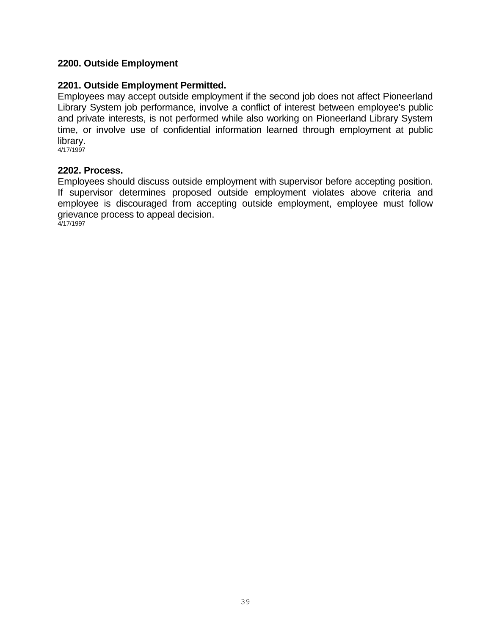# **2200. Outside Employment**

#### **2201. Outside Employment Permitted.**

Employees may accept outside employment if the second job does not affect Pioneerland Library System job performance, involve a conflict of interest between employee's public and private interests, is not performed while also working on Pioneerland Library System time, or involve use of confidential information learned through employment at public library.

4/17/1997

#### **2202. Process.**

Employees should discuss outside employment with supervisor before accepting position. If supervisor determines proposed outside employment violates above criteria and employee is discouraged from accepting outside employment, employee must follow grievance process to appeal decision. 4/17/1997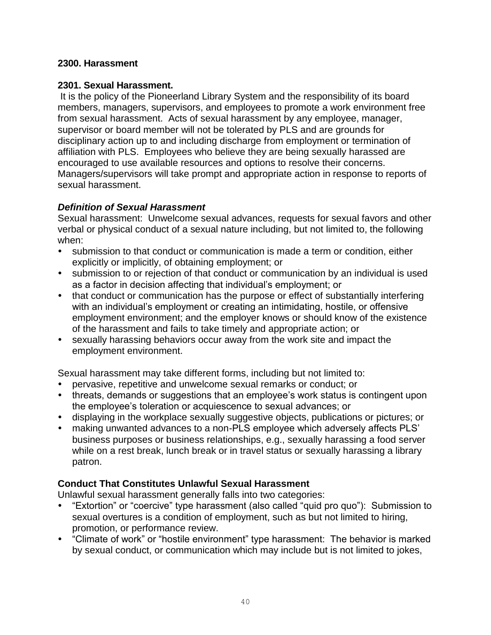# <span id="page-39-0"></span>**2300. Harassment**

# **2301. Sexual Harassment.**

It is the policy of the Pioneerland Library System and the responsibility of its board members, managers, supervisors, and employees to promote a work environment free from sexual harassment. Acts of sexual harassment by any employee, manager, supervisor or board member will not be tolerated by PLS and are grounds for disciplinary action up to and including discharge from employment or termination of affiliation with PLS. Employees who believe they are being sexually harassed are encouraged to use available resources and options to resolve their concerns. Managers/supervisors will take prompt and appropriate action in response to reports of sexual harassment.

# *Definition of Sexual Harassment*

Sexual harassment: Unwelcome sexual advances, requests for sexual favors and other verbal or physical conduct of a sexual nature including, but not limited to, the following when:

- submission to that conduct or communication is made a term or condition, either explicitly or implicitly, of obtaining employment; or
- submission to or rejection of that conduct or communication by an individual is used as a factor in decision affecting that individual's employment; or
- that conduct or communication has the purpose or effect of substantially interfering with an individual's employment or creating an intimidating, hostile, or offensive employment environment; and the employer knows or should know of the existence of the harassment and fails to take timely and appropriate action; or
- sexually harassing behaviors occur away from the work site and impact the employment environment.

Sexual harassment may take different forms, including but not limited to:

- pervasive, repetitive and unwelcome sexual remarks or conduct; or
- threats, demands or suggestions that an employee's work status is contingent upon the employee's toleration or acquiescence to sexual advances; or
- displaying in the workplace sexually suggestive objects, publications or pictures; or
- making unwanted advances to a non-PLS employee which adversely affects PLS' business purposes or business relationships, e.g., sexually harassing a food server while on a rest break, lunch break or in travel status or sexually harassing a library patron.

# **Conduct That Constitutes Unlawful Sexual Harassment**

Unlawful sexual harassment generally falls into two categories:

- "Extortion" or "coercive" type harassment (also called "quid pro quo"): Submission to sexual overtures is a condition of employment, such as but not limited to hiring, promotion, or performance review.
- "Climate of work" or "hostile environment" type harassment: The behavior is marked by sexual conduct, or communication which may include but is not limited to jokes,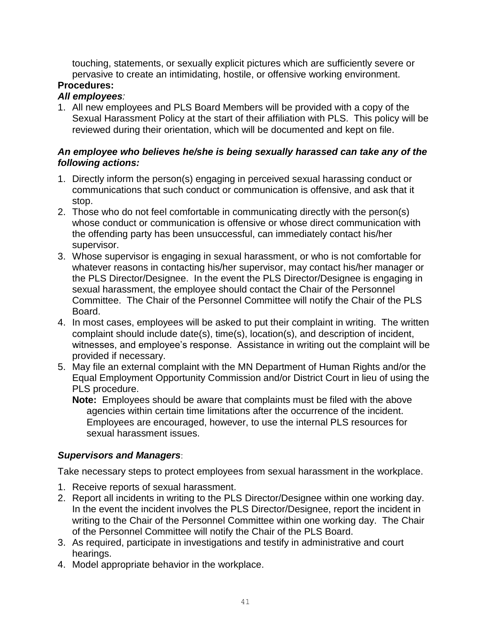touching, statements, or sexually explicit pictures which are sufficiently severe or pervasive to create an intimidating, hostile, or offensive working environment.

# **Procedures:**

# *All employees:*

1. All new employees and PLS Board Members will be provided with a copy of the Sexual Harassment Policy at the start of their affiliation with PLS. This policy will be reviewed during their orientation, which will be documented and kept on file.

# *An employee who believes he/she is being sexually harassed can take any of the following actions:*

- 1. Directly inform the person(s) engaging in perceived sexual harassing conduct or communications that such conduct or communication is offensive, and ask that it stop.
- 2. Those who do not feel comfortable in communicating directly with the person(s) whose conduct or communication is offensive or whose direct communication with the offending party has been unsuccessful, can immediately contact his/her supervisor.
- 3. Whose supervisor is engaging in sexual harassment, or who is not comfortable for whatever reasons in contacting his/her supervisor, may contact his/her manager or the PLS Director/Designee. In the event the PLS Director/Designee is engaging in sexual harassment, the employee should contact the Chair of the Personnel Committee. The Chair of the Personnel Committee will notify the Chair of the PLS Board.
- 4. In most cases, employees will be asked to put their complaint in writing. The written complaint should include date(s), time(s), location(s), and description of incident, witnesses, and employee's response. Assistance in writing out the complaint will be provided if necessary.
- 5. May file an external complaint with the MN Department of Human Rights and/or the Equal Employment Opportunity Commission and/or District Court in lieu of using the PLS procedure.
	- **Note:** Employees should be aware that complaints must be filed with the above agencies within certain time limitations after the occurrence of the incident. Employees are encouraged, however, to use the internal PLS resources for sexual harassment issues.

# *Supervisors and Managers*:

Take necessary steps to protect employees from sexual harassment in the workplace.

- 1. Receive reports of sexual harassment.
- 2. Report all incidents in writing to the PLS Director/Designee within one working day. In the event the incident involves the PLS Director/Designee, report the incident in writing to the Chair of the Personnel Committee within one working day. The Chair of the Personnel Committee will notify the Chair of the PLS Board.
- 3. As required, participate in investigations and testify in administrative and court hearings.
- 4. Model appropriate behavior in the workplace.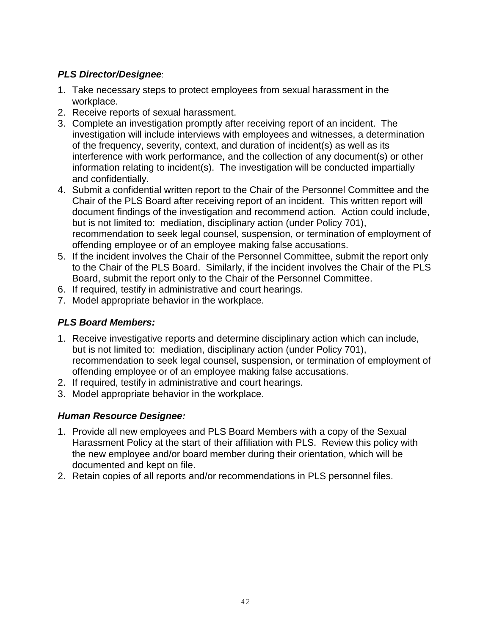# *PLS Director/Designee*:

- 1. Take necessary steps to protect employees from sexual harassment in the workplace.
- 2. Receive reports of sexual harassment.
- 3. Complete an investigation promptly after receiving report of an incident. The investigation will include interviews with employees and witnesses, a determination of the frequency, severity, context, and duration of incident(s) as well as its interference with work performance, and the collection of any document(s) or other information relating to incident(s). The investigation will be conducted impartially and confidentially.
- 4. Submit a confidential written report to the Chair of the Personnel Committee and the Chair of the PLS Board after receiving report of an incident. This written report will document findings of the investigation and recommend action. Action could include, but is not limited to: mediation, disciplinary action (under Policy 701), recommendation to seek legal counsel, suspension, or termination of employment of offending employee or of an employee making false accusations.
- 5. If the incident involves the Chair of the Personnel Committee, submit the report only to the Chair of the PLS Board. Similarly, if the incident involves the Chair of the PLS Board, submit the report only to the Chair of the Personnel Committee.
- 6. If required, testify in administrative and court hearings.
- 7. Model appropriate behavior in the workplace.

# *PLS Board Members:*

- 1. Receive investigative reports and determine disciplinary action which can include, but is not limited to: mediation, disciplinary action (under Policy 701), recommendation to seek legal counsel, suspension, or termination of employment of offending employee or of an employee making false accusations.
- 2. If required, testify in administrative and court hearings.
- 3. Model appropriate behavior in the workplace.

# *Human Resource Designee:*

- 1. Provide all new employees and PLS Board Members with a copy of the Sexual Harassment Policy at the start of their affiliation with PLS. Review this policy with the new employee and/or board member during their orientation, which will be documented and kept on file.
- 2. Retain copies of all reports and/or recommendations in PLS personnel files.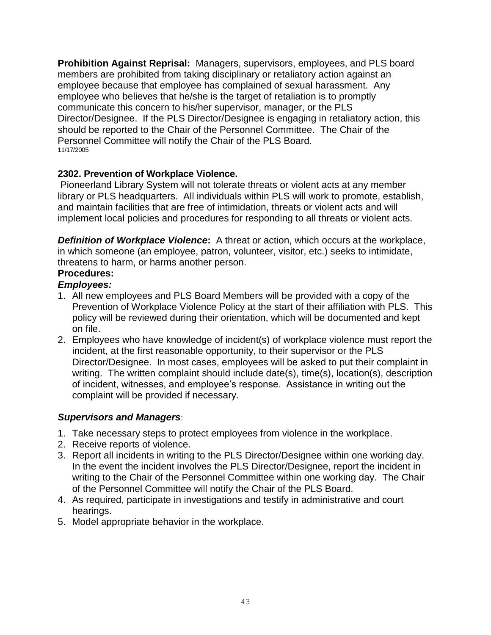**Prohibition Against Reprisal:** Managers, supervisors, employees, and PLS board members are prohibited from taking disciplinary or retaliatory action against an employee because that employee has complained of sexual harassment. Any employee who believes that he/she is the target of retaliation is to promptly communicate this concern to his/her supervisor, manager, or the PLS Director/Designee. If the PLS Director/Designee is engaging in retaliatory action, this should be reported to the Chair of the Personnel Committee. The Chair of the Personnel Committee will notify the Chair of the PLS Board. 11/17/2005

# **2302. Prevention of Workplace Violence.**

Pioneerland Library System will not tolerate threats or violent acts at any member library or PLS headquarters. All individuals within PLS will work to promote, establish, and maintain facilities that are free of intimidation, threats or violent acts and will implement local policies and procedures for responding to all threats or violent acts.

**Definition of Workplace Violence:** A threat or action, which occurs at the workplace, in which someone (an employee, patron, volunteer, visitor, etc.) seeks to intimidate, threatens to harm, or harms another person. **Procedures:**

# *Employees:*

- 1. All new employees and PLS Board Members will be provided with a copy of the Prevention of Workplace Violence Policy at the start of their affiliation with PLS. This policy will be reviewed during their orientation, which will be documented and kept on file.
- 2. Employees who have knowledge of incident(s) of workplace violence must report the incident, at the first reasonable opportunity, to their supervisor or the PLS Director/Designee. In most cases, employees will be asked to put their complaint in writing. The written complaint should include date(s), time(s), location(s), description of incident, witnesses, and employee's response. Assistance in writing out the complaint will be provided if necessary.

# *Supervisors and Managers*:

- 1. Take necessary steps to protect employees from violence in the workplace.
- 2. Receive reports of violence.
- 3. Report all incidents in writing to the PLS Director/Designee within one working day. In the event the incident involves the PLS Director/Designee, report the incident in writing to the Chair of the Personnel Committee within one working day. The Chair of the Personnel Committee will notify the Chair of the PLS Board.
- 4. As required, participate in investigations and testify in administrative and court hearings.
- 5. Model appropriate behavior in the workplace.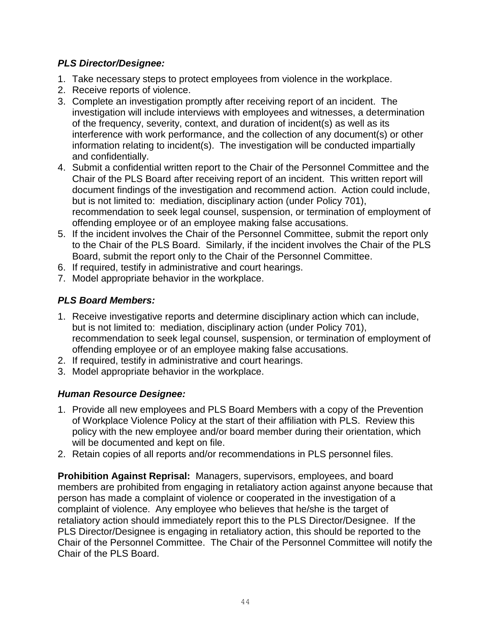# *PLS Director/Designee:*

- 1. Take necessary steps to protect employees from violence in the workplace.
- 2. Receive reports of violence.
- 3. Complete an investigation promptly after receiving report of an incident. The investigation will include interviews with employees and witnesses, a determination of the frequency, severity, context, and duration of incident(s) as well as its interference with work performance, and the collection of any document(s) or other information relating to incident(s). The investigation will be conducted impartially and confidentially.
- 4. Submit a confidential written report to the Chair of the Personnel Committee and the Chair of the PLS Board after receiving report of an incident. This written report will document findings of the investigation and recommend action. Action could include, but is not limited to: mediation, disciplinary action (under Policy 701), recommendation to seek legal counsel, suspension, or termination of employment of offending employee or of an employee making false accusations.
- 5. If the incident involves the Chair of the Personnel Committee, submit the report only to the Chair of the PLS Board. Similarly, if the incident involves the Chair of the PLS Board, submit the report only to the Chair of the Personnel Committee.
- 6. If required, testify in administrative and court hearings.
- 7. Model appropriate behavior in the workplace.

# *PLS Board Members:*

- 1. Receive investigative reports and determine disciplinary action which can include, but is not limited to: mediation, disciplinary action (under Policy 701), recommendation to seek legal counsel, suspension, or termination of employment of offending employee or of an employee making false accusations.
- 2. If required, testify in administrative and court hearings.
- 3. Model appropriate behavior in the workplace.

# *Human Resource Designee:*

- 1. Provide all new employees and PLS Board Members with a copy of the Prevention of Workplace Violence Policy at the start of their affiliation with PLS. Review this policy with the new employee and/or board member during their orientation, which will be documented and kept on file.
- 2. Retain copies of all reports and/or recommendations in PLS personnel files.

**Prohibition Against Reprisal:** Managers, supervisors, employees, and board members are prohibited from engaging in retaliatory action against anyone because that person has made a complaint of violence or cooperated in the investigation of a complaint of violence. Any employee who believes that he/she is the target of retaliatory action should immediately report this to the PLS Director/Designee. If the PLS Director/Designee is engaging in retaliatory action, this should be reported to the Chair of the Personnel Committee. The Chair of the Personnel Committee will notify the Chair of the PLS Board.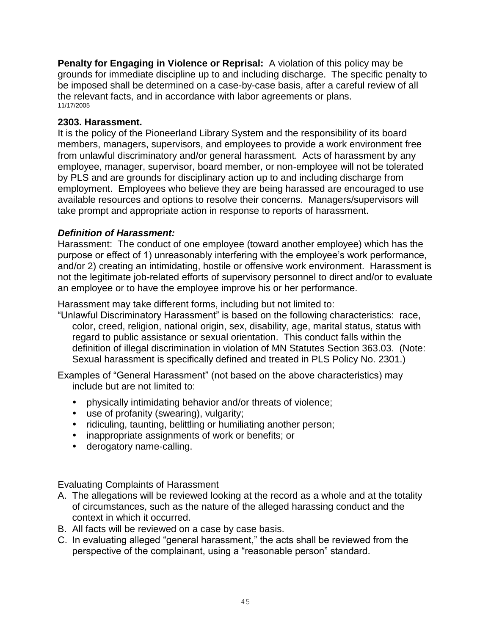**Penalty for Engaging in Violence or Reprisal:** A violation of this policy may be grounds for immediate discipline up to and including discharge. The specific penalty to be imposed shall be determined on a case-by-case basis, after a careful review of all the relevant facts, and in accordance with labor agreements or plans. 11/17/2005

# **2303. Harassment.**

It is the policy of the Pioneerland Library System and the responsibility of its board members, managers, supervisors, and employees to provide a work environment free from unlawful discriminatory and/or general harassment. Acts of harassment by any employee, manager, supervisor, board member, or non-employee will not be tolerated by PLS and are grounds for disciplinary action up to and including discharge from employment. Employees who believe they are being harassed are encouraged to use available resources and options to resolve their concerns. Managers/supervisors will take prompt and appropriate action in response to reports of harassment.

# *Definition of Harassment:*

Harassment: The conduct of one employee (toward another employee) which has the purpose or effect of 1) unreasonably interfering with the employee's work performance, and/or 2) creating an intimidating, hostile or offensive work environment. Harassment is not the legitimate job-related efforts of supervisory personnel to direct and/or to evaluate an employee or to have the employee improve his or her performance.

Harassment may take different forms, including but not limited to:

"Unlawful Discriminatory Harassment" is based on the following characteristics: race, color, creed, religion, national origin, sex, disability, age, marital status, status with regard to public assistance or sexual orientation. This conduct falls within the definition of illegal discrimination in violation of MN Statutes Section 363.03. (Note: Sexual harassment is specifically defined and treated in PLS Policy No. 2301.)

Examples of "General Harassment" (not based on the above characteristics) may include but are not limited to:

- physically intimidating behavior and/or threats of violence;
- use of profanity (swearing), vulgarity;
- ridiculing, taunting, belittling or humiliating another person;
- inappropriate assignments of work or benefits; or
- derogatory name-calling.

Evaluating Complaints of Harassment

- A. The allegations will be reviewed looking at the record as a whole and at the totality of circumstances, such as the nature of the alleged harassing conduct and the context in which it occurred.
- B. All facts will be reviewed on a case by case basis.
- C. In evaluating alleged "general harassment," the acts shall be reviewed from the perspective of the complainant, using a "reasonable person" standard.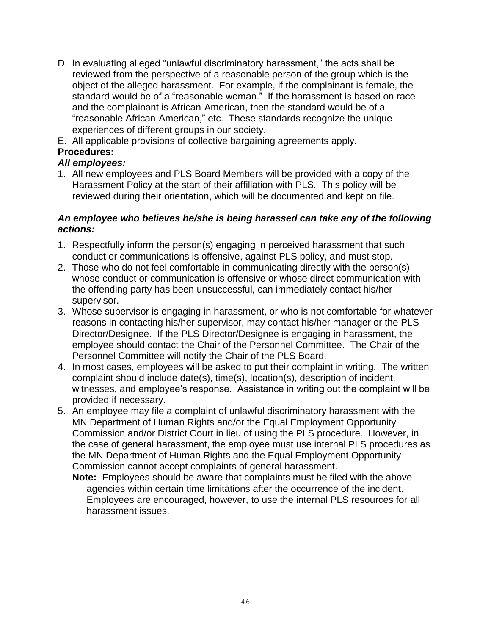D. In evaluating alleged "unlawful discriminatory harassment," the acts shall be reviewed from the perspective of a reasonable person of the group which is the object of the alleged harassment. For example, if the complainant is female, the standard would be of a "reasonable woman." If the harassment is based on race and the complainant is African-American, then the standard would be of a "reasonable African-American," etc. These standards recognize the unique experiences of different groups in our society.

E. All applicable provisions of collective bargaining agreements apply. **Procedures:**

# *All employees:*

1. All new employees and PLS Board Members will be provided with a copy of the Harassment Policy at the start of their affiliation with PLS. This policy will be reviewed during their orientation, which will be documented and kept on file.

# *An employee who believes he/she is being harassed can take any of the following actions:*

- 1. Respectfully inform the person(s) engaging in perceived harassment that such conduct or communications is offensive, against PLS policy, and must stop.
- 2. Those who do not feel comfortable in communicating directly with the person(s) whose conduct or communication is offensive or whose direct communication with the offending party has been unsuccessful, can immediately contact his/her supervisor.
- 3. Whose supervisor is engaging in harassment, or who is not comfortable for whatever reasons in contacting his/her supervisor, may contact his/her manager or the PLS Director/Designee. If the PLS Director/Designee is engaging in harassment, the employee should contact the Chair of the Personnel Committee. The Chair of the Personnel Committee will notify the Chair of the PLS Board.
- 4. In most cases, employees will be asked to put their complaint in writing. The written complaint should include date(s), time(s), location(s), description of incident, witnesses, and employee's response. Assistance in writing out the complaint will be provided if necessary.
- 5. An employee may file a complaint of unlawful discriminatory harassment with the MN Department of Human Rights and/or the Equal Employment Opportunity Commission and/or District Court in lieu of using the PLS procedure. However, in the case of general harassment, the employee must use internal PLS procedures as the MN Department of Human Rights and the Equal Employment Opportunity Commission cannot accept complaints of general harassment.
	- **Note:** Employees should be aware that complaints must be filed with the above agencies within certain time limitations after the occurrence of the incident. Employees are encouraged, however, to use the internal PLS resources for all harassment issues.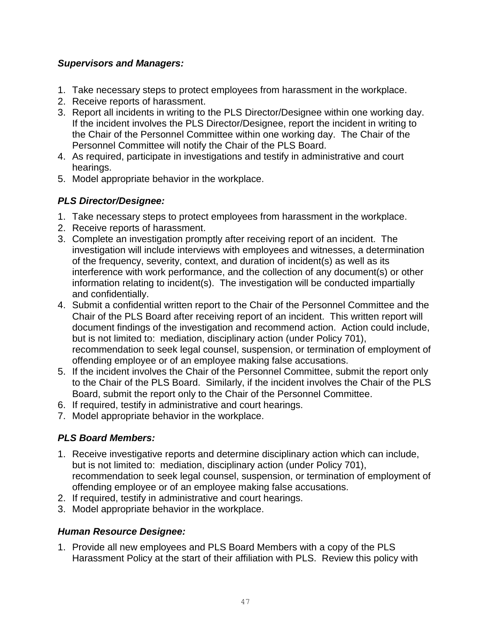# *Supervisors and Managers:*

- 1. Take necessary steps to protect employees from harassment in the workplace.
- 2. Receive reports of harassment.
- 3. Report all incidents in writing to the PLS Director/Designee within one working day. If the incident involves the PLS Director/Designee, report the incident in writing to the Chair of the Personnel Committee within one working day. The Chair of the Personnel Committee will notify the Chair of the PLS Board.
- 4. As required, participate in investigations and testify in administrative and court hearings.
- 5. Model appropriate behavior in the workplace.

# *PLS Director/Designee:*

- 1. Take necessary steps to protect employees from harassment in the workplace.
- 2. Receive reports of harassment.
- 3. Complete an investigation promptly after receiving report of an incident. The investigation will include interviews with employees and witnesses, a determination of the frequency, severity, context, and duration of incident(s) as well as its interference with work performance, and the collection of any document(s) or other information relating to incident(s). The investigation will be conducted impartially and confidentially.
- 4. Submit a confidential written report to the Chair of the Personnel Committee and the Chair of the PLS Board after receiving report of an incident. This written report will document findings of the investigation and recommend action. Action could include, but is not limited to: mediation, disciplinary action (under Policy 701), recommendation to seek legal counsel, suspension, or termination of employment of offending employee or of an employee making false accusations.
- 5. If the incident involves the Chair of the Personnel Committee, submit the report only to the Chair of the PLS Board. Similarly, if the incident involves the Chair of the PLS Board, submit the report only to the Chair of the Personnel Committee.
- 6. If required, testify in administrative and court hearings.
- 7. Model appropriate behavior in the workplace.

# *PLS Board Members:*

- 1. Receive investigative reports and determine disciplinary action which can include, but is not limited to: mediation, disciplinary action (under Policy 701), recommendation to seek legal counsel, suspension, or termination of employment of offending employee or of an employee making false accusations.
- 2. If required, testify in administrative and court hearings.
- 3. Model appropriate behavior in the workplace.

# *Human Resource Designee:*

1. Provide all new employees and PLS Board Members with a copy of the PLS Harassment Policy at the start of their affiliation with PLS. Review this policy with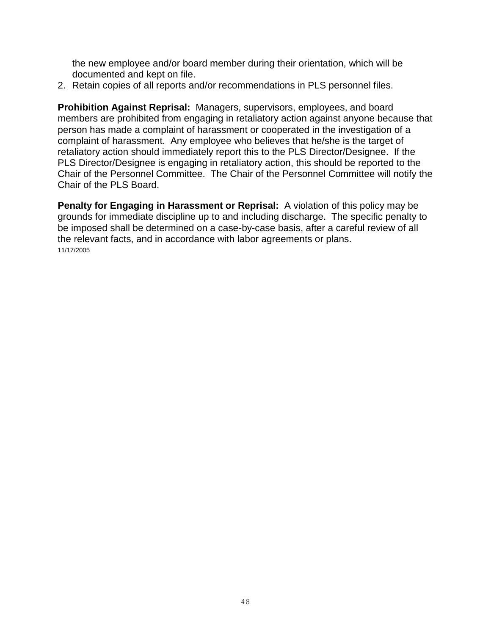the new employee and/or board member during their orientation, which will be documented and kept on file.

2. Retain copies of all reports and/or recommendations in PLS personnel files.

**Prohibition Against Reprisal:** Managers, supervisors, employees, and board members are prohibited from engaging in retaliatory action against anyone because that person has made a complaint of harassment or cooperated in the investigation of a complaint of harassment. Any employee who believes that he/she is the target of retaliatory action should immediately report this to the PLS Director/Designee. If the PLS Director/Designee is engaging in retaliatory action, this should be reported to the Chair of the Personnel Committee. The Chair of the Personnel Committee will notify the Chair of the PLS Board.

**Penalty for Engaging in Harassment or Reprisal:** A violation of this policy may be grounds for immediate discipline up to and including discharge. The specific penalty to be imposed shall be determined on a case-by-case basis, after a careful review of all the relevant facts, and in accordance with labor agreements or plans. 11/17/2005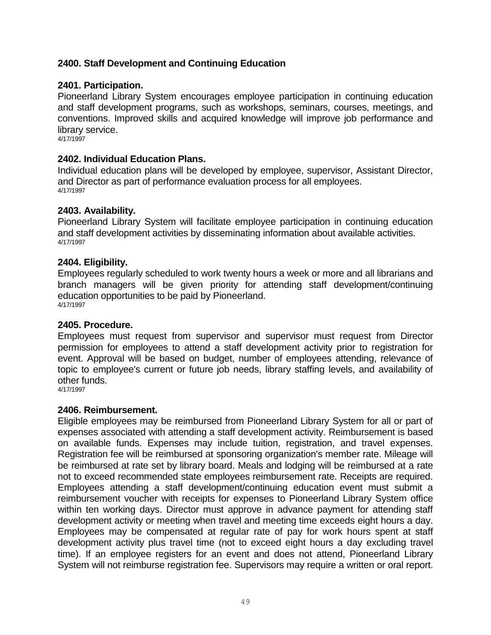# <span id="page-48-0"></span>**2400. Staff Development and Continuing Education**

### **2401. Participation.**

Pioneerland Library System encourages employee participation in continuing education and staff development programs, such as workshops, seminars, courses, meetings, and conventions. Improved skills and acquired knowledge will improve job performance and library service.

4/17/1997

#### **2402. Individual Education Plans.**

Individual education plans will be developed by employee, supervisor, Assistant Director, and Director as part of performance evaluation process for all employees. 4/17/1997

#### **2403. Availability.**

Pioneerland Library System will facilitate employee participation in continuing education and staff development activities by disseminating information about available activities. 4/17/1997

#### **2404. Eligibility.**

Employees regularly scheduled to work twenty hours a week or more and all librarians and branch managers will be given priority for attending staff development/continuing education opportunities to be paid by Pioneerland. 4/17/1997

#### **2405. Procedure.**

Employees must request from supervisor and supervisor must request from Director permission for employees to attend a staff development activity prior to registration for event. Approval will be based on budget, number of employees attending, relevance of topic to employee's current or future job needs, library staffing levels, and availability of other funds.

4/17/1997

#### **2406. Reimbursement.**

Eligible employees may be reimbursed from Pioneerland Library System for all or part of expenses associated with attending a staff development activity. Reimbursement is based on available funds. Expenses may include tuition, registration, and travel expenses. Registration fee will be reimbursed at sponsoring organization's member rate. Mileage will be reimbursed at rate set by library board. Meals and lodging will be reimbursed at a rate not to exceed recommended state employees reimbursement rate. Receipts are required. Employees attending a staff development/continuing education event must submit a reimbursement voucher with receipts for expenses to Pioneerland Library System office within ten working days. Director must approve in advance payment for attending staff development activity or meeting when travel and meeting time exceeds eight hours a day. Employees may be compensated at regular rate of pay for work hours spent at staff development activity plus travel time (not to exceed eight hours a day excluding travel time). If an employee registers for an event and does not attend, Pioneerland Library System will not reimburse registration fee. Supervisors may require a written or oral report.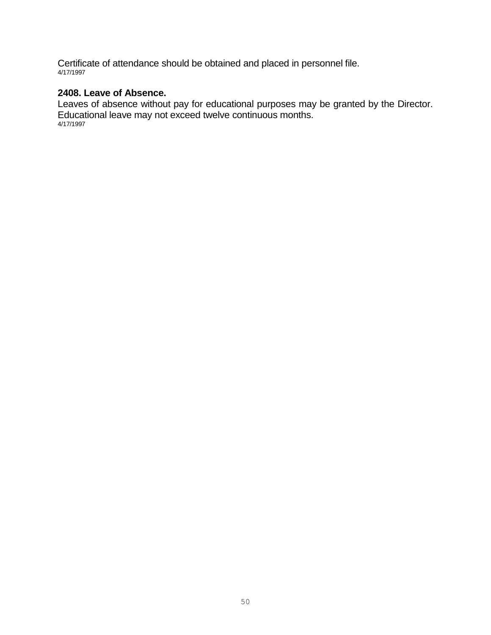Certificate of attendance should be obtained and placed in personnel file. 4/17/1997

# **2408. Leave of Absence.**

Leaves of absence without pay for educational purposes may be granted by the Director. Educational leave may not exceed twelve continuous months. 4/17/1997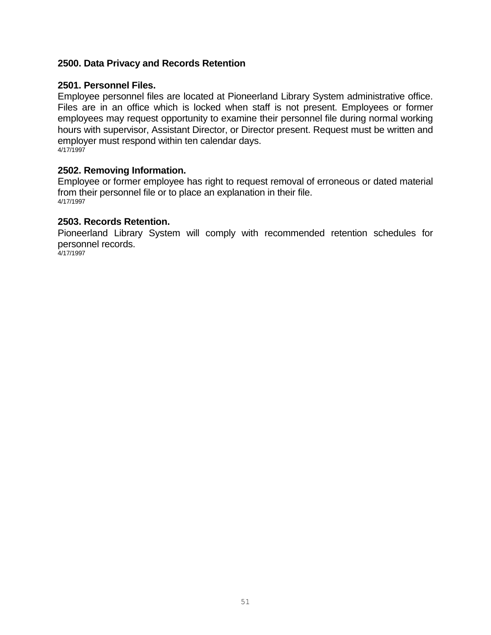### <span id="page-50-0"></span>**2500. Data Privacy and Records Retention**

#### **2501. Personnel Files.**

Employee personnel files are located at Pioneerland Library System administrative office. Files are in an office which is locked when staff is not present. Employees or former employees may request opportunity to examine their personnel file during normal working hours with supervisor, Assistant Director, or Director present. Request must be written and employer must respond within ten calendar days. 4/17/1997

#### **2502. Removing Information.**

Employee or former employee has right to request removal of erroneous or dated material from their personnel file or to place an explanation in their file. 4/17/1997

#### **2503. Records Retention.**

Pioneerland Library System will comply with recommended retention schedules for personnel records.

4/17/1997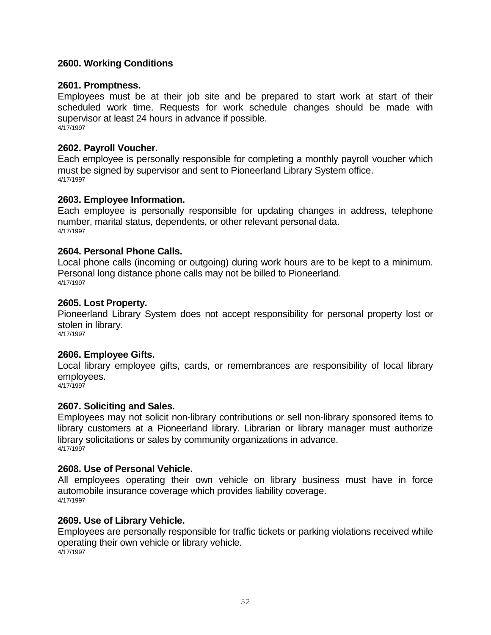# <span id="page-51-0"></span>**2600. Working Conditions**

#### **2601. Promptness.**

Employees must be at their job site and be prepared to start work at start of their scheduled work time. Requests for work schedule changes should be made with supervisor at least 24 hours in advance if possible. 4/17/1997

#### **2602. Payroll Voucher.**

Each employee is personally responsible for completing a monthly payroll voucher which must be signed by supervisor and sent to Pioneerland Library System office. 4/17/1997

#### **2603. Employee Information.**

Each employee is personally responsible for updating changes in address, telephone number, marital status, dependents, or other relevant personal data. 4/17/1997

#### **2604. Personal Phone Calls.**

Local phone calls (incoming or outgoing) during work hours are to be kept to a minimum. Personal long distance phone calls may not be billed to Pioneerland. 4/17/1997

#### **2605. Lost Property.**

Pioneerland Library System does not accept responsibility for personal property lost or stolen in library.

4/17/1997

# **2606. Employee Gifts.**

Local library employee gifts, cards, or remembrances are responsibility of local library employees.

4/17/1997

# **2607. Soliciting and Sales.**

Employees may not solicit non-library contributions or sell non-library sponsored items to library customers at a Pioneerland library. Librarian or library manager must authorize library solicitations or sales by community organizations in advance. 4/17/1997

#### **2608. Use of Personal Vehicle.**

All employees operating their own vehicle on library business must have in force automobile insurance coverage which provides liability coverage. 4/17/1997

#### **2609. Use of Library Vehicle.**

Employees are personally responsible for traffic tickets or parking violations received while operating their own vehicle or library vehicle. 4/17/1997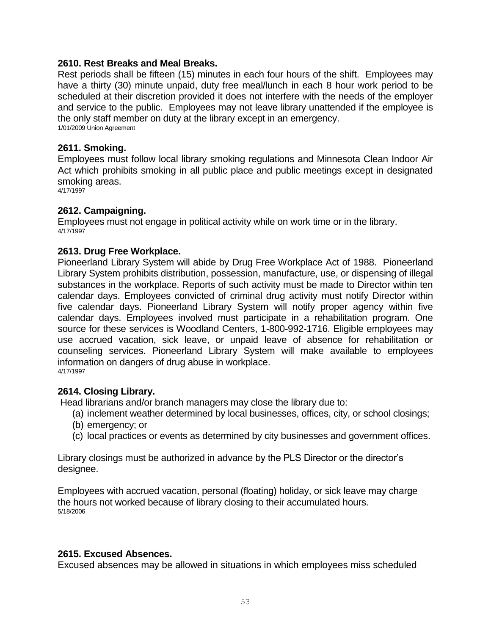#### **2610. Rest Breaks and Meal Breaks.**

Rest periods shall be fifteen (15) minutes in each four hours of the shift. Employees may have a thirty (30) minute unpaid, duty free meal/lunch in each 8 hour work period to be scheduled at their discretion provided it does not interfere with the needs of the employer and service to the public. Employees may not leave library unattended if the employee is the only staff member on duty at the library except in an emergency. 1/01/2009 Union Agreement

#### **2611. Smoking.**

Employees must follow local library smoking regulations and Minnesota Clean Indoor Air Act which prohibits smoking in all public place and public meetings except in designated smoking areas.

4/17/1997

#### **2612. Campaigning.**

Employees must not engage in political activity while on work time or in the library. 4/17/1997

#### **2613. Drug Free Workplace.**

Pioneerland Library System will abide by Drug Free Workplace Act of 1988. Pioneerland Library System prohibits distribution, possession, manufacture, use, or dispensing of illegal substances in the workplace. Reports of such activity must be made to Director within ten calendar days. Employees convicted of criminal drug activity must notify Director within five calendar days. Pioneerland Library System will notify proper agency within five calendar days. Employees involved must participate in a rehabilitation program. One source for these services is Woodland Centers, 1-800-992-1716. Eligible employees may use accrued vacation, sick leave, or unpaid leave of absence for rehabilitation or counseling services. Pioneerland Library System will make available to employees information on dangers of drug abuse in workplace. 4/17/1997

#### **2614. Closing Library.**

Head librarians and/or branch managers may close the library due to:

- (a) inclement weather determined by local businesses, offices, city, or school closings;
- (b) emergency; or
- (c) local practices or events as determined by city businesses and government offices.

Library closings must be authorized in advance by the PLS Director or the director's designee.

Employees with accrued vacation, personal (floating) holiday, or sick leave may charge the hours not worked because of library closing to their accumulated hours. 5/18/2006

#### **2615. Excused Absences.**

Excused absences may be allowed in situations in which employees miss scheduled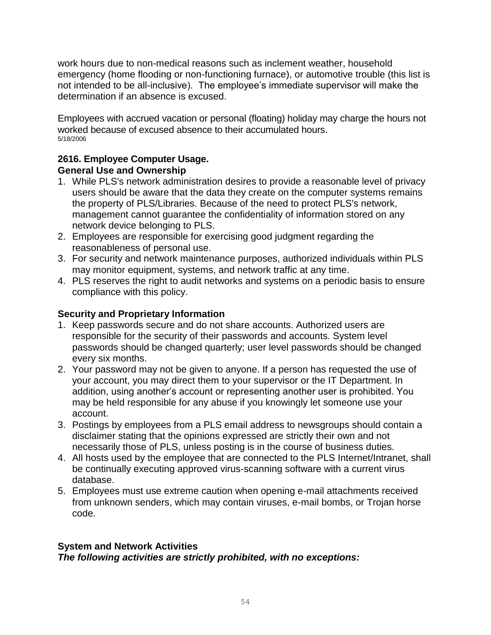work hours due to non-medical reasons such as inclement weather, household emergency (home flooding or non-functioning furnace), or automotive trouble (this list is not intended to be all-inclusive). The employee's immediate supervisor will make the determination if an absence is excused.

Employees with accrued vacation or personal (floating) holiday may charge the hours not worked because of excused absence to their accumulated hours. 5/18/2006

# **2616. Employee Computer Usage. General Use and Ownership**

- 1. While PLS's network administration desires to provide a reasonable level of privacy users should be aware that the data they create on the computer systems remains the property of PLS/Libraries. Because of the need to protect PLS's network, management cannot guarantee the confidentiality of information stored on any network device belonging to PLS.
- 2. Employees are responsible for exercising good judgment regarding the reasonableness of personal use.
- 3. For security and network maintenance purposes, authorized individuals within PLS may monitor equipment, systems, and network traffic at any time.
- 4. PLS reserves the right to audit networks and systems on a periodic basis to ensure compliance with this policy.

# **Security and Proprietary Information**

- 1. Keep passwords secure and do not share accounts. Authorized users are responsible for the security of their passwords and accounts. System level passwords should be changed quarterly; user level passwords should be changed every six months.
- 2. Your password may not be given to anyone. If a person has requested the use of your account, you may direct them to your supervisor or the IT Department. In addition, using another's account or representing another user is prohibited. You may be held responsible for any abuse if you knowingly let someone use your account.
- 3. Postings by employees from a PLS email address to newsgroups should contain a disclaimer stating that the opinions expressed are strictly their own and not necessarily those of PLS, unless posting is in the course of business duties.
- 4. All hosts used by the employee that are connected to the PLS Internet/Intranet, shall be continually executing approved virus-scanning software with a current virus database.
- 5. Employees must use extreme caution when opening e-mail attachments received from unknown senders, which may contain viruses, e-mail bombs, or Trojan horse code.

# **System and Network Activities**

*The following activities are strictly prohibited, with no exceptions:*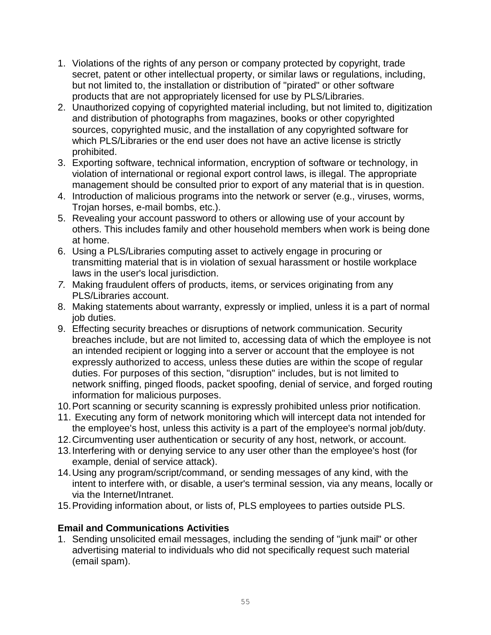- 1. Violations of the rights of any person or company protected by copyright, trade secret, patent or other intellectual property, or similar laws or regulations, including, but not limited to, the installation or distribution of "pirated" or other software products that are not appropriately licensed for use by PLS/Libraries.
- 2. Unauthorized copying of copyrighted material including, but not limited to, digitization and distribution of photographs from magazines, books or other copyrighted sources, copyrighted music, and the installation of any copyrighted software for which PLS/Libraries or the end user does not have an active license is strictly prohibited.
- 3. Exporting software, technical information, encryption of software or technology, in violation of international or regional export control laws, is illegal. The appropriate management should be consulted prior to export of any material that is in question.
- 4. Introduction of malicious programs into the network or server (e.g., viruses, worms, Trojan horses, e-mail bombs, etc.).
- 5. Revealing your account password to others or allowing use of your account by others. This includes family and other household members when work is being done at home.
- 6. Using a PLS/Libraries computing asset to actively engage in procuring or transmitting material that is in violation of sexual harassment or hostile workplace laws in the user's local jurisdiction.
- *7.* Making fraudulent offers of products, items, or services originating from any PLS/Libraries account.
- 8. Making statements about warranty, expressly or implied, unless it is a part of normal job duties.
- 9. Effecting security breaches or disruptions of network communication. Security breaches include, but are not limited to, accessing data of which the employee is not an intended recipient or logging into a server or account that the employee is not expressly authorized to access, unless these duties are within the scope of regular duties. For purposes of this section, "disruption" includes, but is not limited to network sniffing, pinged floods, packet spoofing, denial of service, and forged routing information for malicious purposes.
- 10.Port scanning or security scanning is expressly prohibited unless prior notification.
- 11. Executing any form of network monitoring which will intercept data not intended for the employee's host, unless this activity is a part of the employee's normal job/duty.
- 12.Circumventing user authentication or security of any host, network, or account.
- 13.Interfering with or denying service to any user other than the employee's host (for example, denial of service attack).
- 14.Using any program/script/command, or sending messages of any kind, with the intent to interfere with, or disable, a user's terminal session, via any means, locally or via the Internet/Intranet.
- 15.Providing information about, or lists of, PLS employees to parties outside PLS.

# **Email and Communications Activities**

1. Sending unsolicited email messages, including the sending of "junk mail" or other advertising material to individuals who did not specifically request such material (email spam).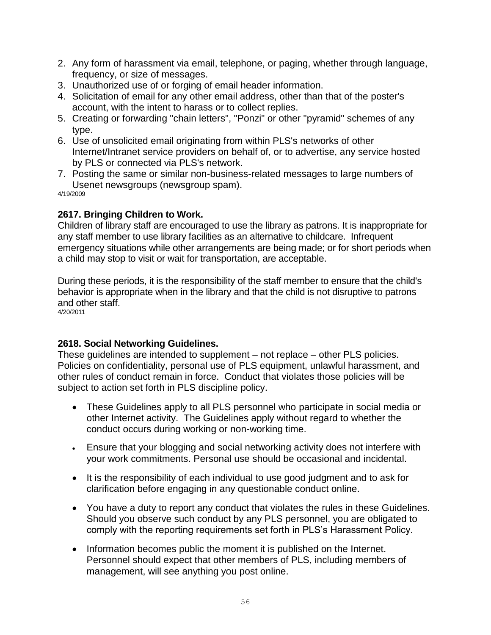- 2. Any form of harassment via email, telephone, or paging, whether through language, frequency, or size of messages.
- 3. Unauthorized use of or forging of email header information.
- 4. Solicitation of email for any other email address, other than that of the poster's account, with the intent to harass or to collect replies.
- 5. Creating or forwarding "chain letters", "Ponzi" or other "pyramid" schemes of any type.
- 6. Use of unsolicited email originating from within PLS's networks of other Internet/Intranet service providers on behalf of, or to advertise, any service hosted by PLS or connected via PLS's network.
- 7. Posting the same or similar non-business-related messages to large numbers of Usenet newsgroups (newsgroup spam).

4/19/2009

# **2617. Bringing Children to Work.**

Children of library staff are encouraged to use the library as patrons. It is inappropriate for any staff member to use library facilities as an alternative to childcare. Infrequent emergency situations while other arrangements are being made; or for short periods when a child may stop to visit or wait for transportation, are acceptable.

During these periods, it is the responsibility of the staff member to ensure that the child's behavior is appropriate when in the library and that the child is not disruptive to patrons and other staff.

4/20/2011

# **2618. Social Networking Guidelines.**

These guidelines are intended to supplement – not replace – other PLS policies. Policies on confidentiality, personal use of PLS equipment, unlawful harassment, and other rules of conduct remain in force. Conduct that violates those policies will be subject to action set forth in PLS discipline policy.

- These Guidelines apply to all PLS personnel who participate in social media or other Internet activity. The Guidelines apply without regard to whether the conduct occurs during working or non-working time.
- Ensure that your blogging and social networking activity does not interfere with your work commitments. Personal use should be occasional and incidental.
- It is the responsibility of each individual to use good judgment and to ask for clarification before engaging in any questionable conduct online.
- You have a duty to report any conduct that violates the rules in these Guidelines. Should you observe such conduct by any PLS personnel, you are obligated to comply with the reporting requirements set forth in PLS's Harassment Policy.
- Information becomes public the moment it is published on the Internet. Personnel should expect that other members of PLS, including members of management, will see anything you post online.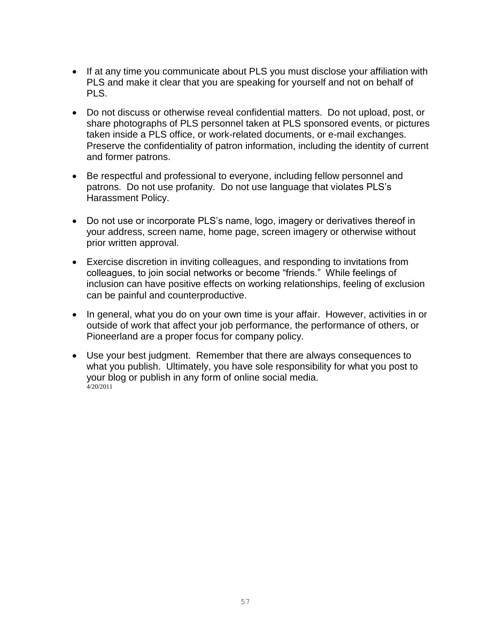- If at any time you communicate about PLS you must disclose your affiliation with PLS and make it clear that you are speaking for yourself and not on behalf of PLS.
- Do not discuss or otherwise reveal confidential matters. Do not upload, post, or share photographs of PLS personnel taken at PLS sponsored events, or pictures taken inside a PLS office, or work-related documents, or e-mail exchanges. Preserve the confidentiality of patron information, including the identity of current and former patrons.
- Be respectful and professional to everyone, including fellow personnel and patrons. Do not use profanity. Do not use language that violates PLS's Harassment Policy.
- Do not use or incorporate PLS's name, logo, imagery or derivatives thereof in your address, screen name, home page, screen imagery or otherwise without prior written approval.
- Exercise discretion in inviting colleagues, and responding to invitations from colleagues, to join social networks or become "friends." While feelings of inclusion can have positive effects on working relationships, feeling of exclusion can be painful and counterproductive.
- In general, what you do on your own time is your affair. However, activities in or outside of work that affect your job performance, the performance of others, or Pioneerland are a proper focus for company policy.
- Use your best judgment. Remember that there are always consequences to what you publish. Ultimately, you have sole responsibility for what you post to your blog or publish in any form of online social media.  $4/20/2011$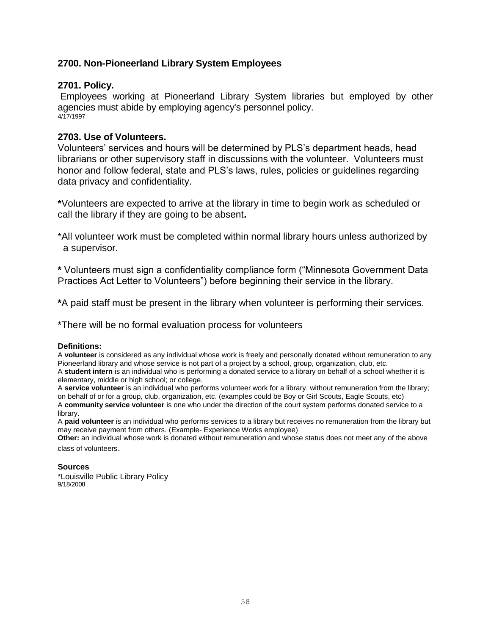# <span id="page-57-0"></span>**2700. Non-Pioneerland Library System Employees**

#### **2701. Policy.**

Employees working at Pioneerland Library System libraries but employed by other agencies must abide by employing agency's personnel policy. 4/17/1997

#### **2703. Use of Volunteers.**

Volunteers' services and hours will be determined by PLS's department heads, head librarians or other supervisory staff in discussions with the volunteer. Volunteers must honor and follow federal, state and PLS's laws, rules, policies or guidelines regarding data privacy and confidentiality.

**\***Volunteers are expected to arrive at the library in time to begin work as scheduled or call the library if they are going to be absent**.**

\*All volunteer work must be completed within normal library hours unless authorized by a supervisor.

**\*** Volunteers must sign a confidentiality compliance form ("Minnesota Government Data Practices Act Letter to Volunteers") before beginning their service in the library.

**\***A paid staff must be present in the library when volunteer is performing their services.

\*There will be no formal evaluation process for volunteers

#### **Definitions:**

A **volunteer** is considered as any individual whose work is freely and personally donated without remuneration to any Pioneerland library and whose service is not part of a project by a school, group, organization, club, etc. A **student intern** is an individual who is performing a donated service to a library on behalf of a school whether it is elementary, middle or high school; or college.

A **service volunteer** is an individual who performs volunteer work for a library, without remuneration from the library; on behalf of or for a group, club, organization, etc. (examples could be Boy or Girl Scouts, Eagle Scouts, etc) A **community service volunteer** is one who under the direction of the court system performs donated service to a library.

A **paid volunteer** is an individual who performs services to a library but receives no remuneration from the library but may receive payment from others. (Example- Experience Works employee)

**Other:** an individual whose work is donated without remuneration and whose status does not meet any of the above class of volunteers.

#### **Sources**

<span id="page-57-1"></span>\*Louisville Public Library Policy 9/18/2008